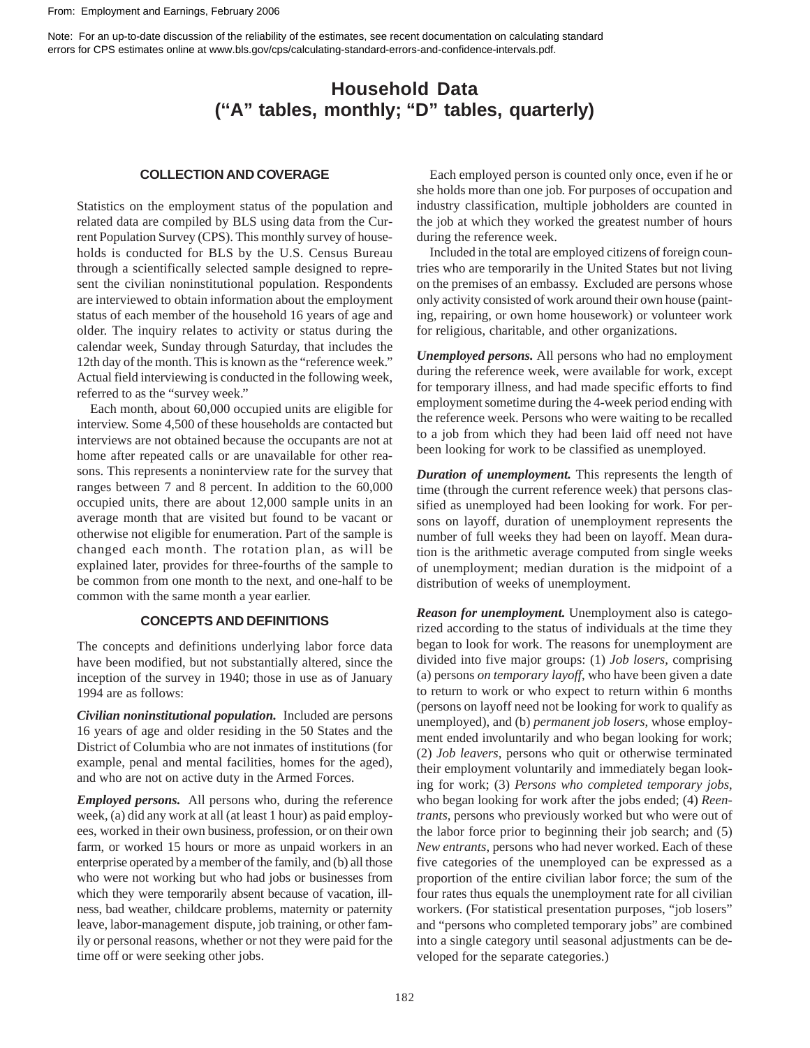[Note: For an up-to-date discussion of the reliability of the estimates, see recent documentation on calculating standard](https://www.bls.gov/cps/calculating-standard-errors-and-confidence-intervals.pdf)  errors for CPS estimates online at www.bls.gov/cps/calculating-standard-errors-and-confidence-intervals.pdf.

# **Household Data (''A" tables, monthly; "D" tables, quarterly)**

## **COLLECTION AND COVERAGE**

Statistics on the employment status of the population and related data are compiled by BLS using data from the Current Population Survey (CPS). This monthly survey of households is conducted for BLS by the U.S. Census Bureau through a scientifically selected sample designed to represent the civilian noninstitutional population. Respondents are interviewed to obtain information about the employment status of each member of the household 16 years of age and older. The inquiry relates to activity or status during the calendar week, Sunday through Saturday, that includes the 12th day of the month. This is known as the "reference week." Actual field interviewing is conducted in the following week, referred to as the "survey week."

Each month, about 60,000 occupied units are eligible for interview. Some 4,500 of these households are contacted but interviews are not obtained because the occupants are not at home after repeated calls or are unavailable for other reasons. This represents a noninterview rate for the survey that ranges between 7 and 8 percent. In addition to the 60,000 occupied units, there are about 12,000 sample units in an average month that are visited but found to be vacant or otherwise not eligible for enumeration. Part of the sample is changed each month. The rotation plan, as will be explained later, provides for three-fourths of the sample to be common from one month to the next, and one-half to be common with the same month a year earlier.

### **CONCEPTS AND DEFINITIONS**

The concepts and definitions underlying labor force data have been modified, but not substantially altered, since the inception of the survey in 1940; those in use as of January 1994 are as follows:

*Civilian noninstitutional population.* Included are persons 16 years of age and older residing in the 50 States and the District of Columbia who are not inmates of institutions (for example, penal and mental facilities, homes for the aged), and who are not on active duty in the Armed Forces.

*Employed persons.* All persons who, during the reference week, (a) did any work at all (at least 1 hour) as paid employees, worked in their own business, profession, or on their own farm, or worked 15 hours or more as unpaid workers in an enterprise operated by a member of the family, and (b) all those who were not working but who had jobs or businesses from which they were temporarily absent because of vacation, illness, bad weather, childcare problems, maternity or paternity leave, labor-management dispute, job training, or other family or personal reasons, whether or not they were paid for the time off or were seeking other jobs.

Each employed person is counted only once, even if he or she holds more than one job. For purposes of occupation and industry classification, multiple jobholders are counted in the job at which they worked the greatest number of hours during the reference week.

Included in the total are employed citizens of foreign countries who are temporarily in the United States but not living on the premises of an embassy. Excluded are persons whose only activity consisted of work around their own house (painting, repairing, or own home housework) or volunteer work for religious, charitable, and other organizations.

*Unemployed persons.* All persons who had no employment during the reference week, were available for work, except for temporary illness, and had made specific efforts to find employment sometime during the 4-week period ending with the reference week. Persons who were waiting to be recalled to a job from which they had been laid off need not have been looking for work to be classified as unemployed.

*Duration of unemployment.* This represents the length of time (through the current reference week) that persons classified as unemployed had been looking for work. For persons on layoff, duration of unemployment represents the number of full weeks they had been on layoff. Mean duration is the arithmetic average computed from single weeks of unemployment; median duration is the midpoint of a distribution of weeks of unemployment.

*Reason for unemployment.* Unemployment also is categorized according to the status of individuals at the time they began to look for work. The reasons for unemployment are divided into five major groups: (1) *Job losers*, comprising (a) persons *on temporary layoff*, who have been given a date to return to work or who expect to return within 6 months (persons on layoff need not be looking for work to qualify as unemployed), and (b) *permanent job losers*, whose employment ended involuntarily and who began looking for work; (2) *Job leavers*, persons who quit or otherwise terminated their employment voluntarily and immediately began looking for work; (3) *Persons who completed temporary jobs*, who began looking for work after the jobs ended; (4) *Reentrants,* persons who previously worked but who were out of the labor force prior to beginning their job search; and (5) *New entrants*, persons who had never worked. Each of these five categories of the unemployed can be expressed as a proportion of the entire civilian labor force; the sum of the four rates thus equals the unemployment rate for all civilian workers. (For statistical presentation purposes, "job losers" and "persons who completed temporary jobs" are combined into a single category until seasonal adjustments can be developed for the separate categories.)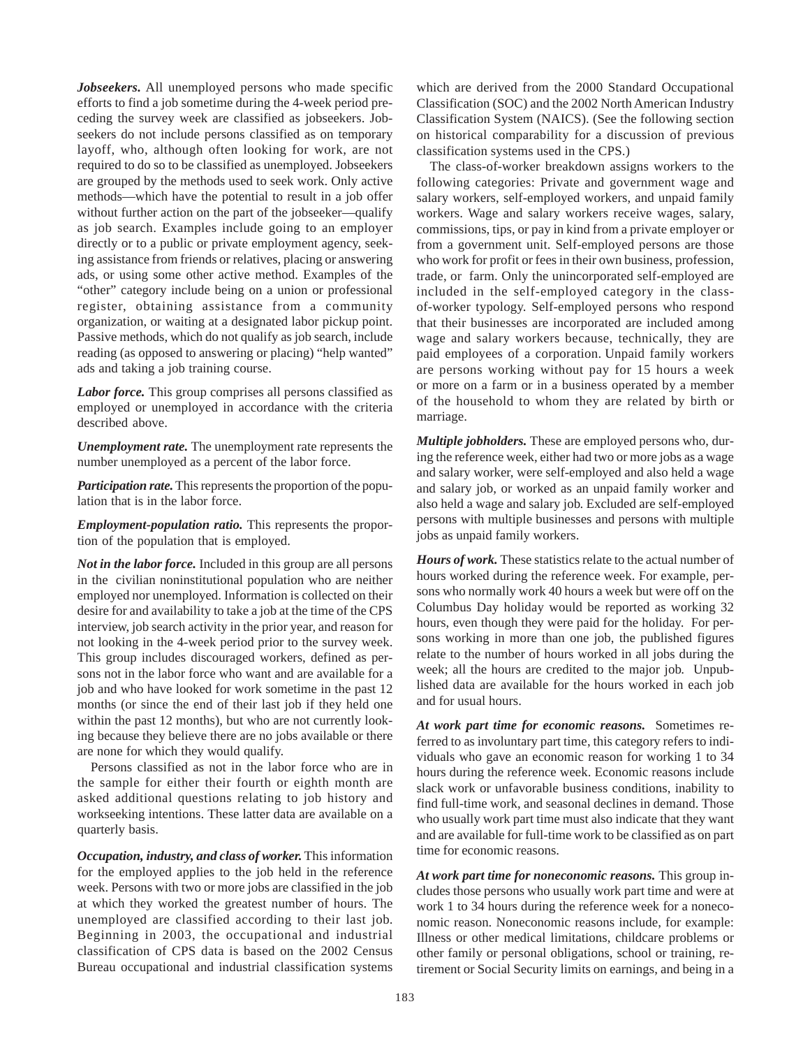*Jobseekers.* All unemployed persons who made specific efforts to find a job sometime during the 4-week period preceding the survey week are classified as jobseekers. Jobseekers do not include persons classified as on temporary layoff, who, although often looking for work, are not required to do so to be classified as unemployed. Jobseekers are grouped by the methods used to seek work. Only active methods—which have the potential to result in a job offer without further action on the part of the jobseeker—qualify as job search. Examples include going to an employer directly or to a public or private employment agency, seeking assistance from friends or relatives, placing or answering ads, or using some other active method. Examples of the "other" category include being on a union or professional register, obtaining assistance from a community organization, or waiting at a designated labor pickup point. Passive methods, which do not qualify as job search, include reading (as opposed to answering or placing) "help wanted" ads and taking a job training course.

*Labor force.* This group comprises all persons classified as employed or unemployed in accordance with the criteria described above.

*Unemployment rate.* The unemployment rate represents the number unemployed as a percent of the labor force.

*Participation rate.* This represents the proportion of the population that is in the labor force.

*Employment-population ratio.* This represents the proportion of the population that is employed.

*Not in the labor force.* Included in this group are all persons in the civilian noninstitutional population who are neither employed nor unemployed. Information is collected on their desire for and availability to take a job at the time of the CPS interview, job search activity in the prior year, and reason for not looking in the 4-week period prior to the survey week. This group includes discouraged workers, defined as persons not in the labor force who want and are available for a job and who have looked for work sometime in the past 12 months (or since the end of their last job if they held one within the past 12 months), but who are not currently looking because they believe there are no jobs available or there are none for which they would qualify.

Persons classified as not in the labor force who are in the sample for either their fourth or eighth month are asked additional questions relating to job history and workseeking intentions. These latter data are available on a quarterly basis.

*Occupation, industry, and class of worker.* This information for the employed applies to the job held in the reference week. Persons with two or more jobs are classified in the job at which they worked the greatest number of hours. The unemployed are classified according to their last job. Beginning in 2003, the occupational and industrial classification of CPS data is based on the 2002 Census Bureau occupational and industrial classification systems

which are derived from the 2000 Standard Occupational Classification (SOC) and the 2002 North American Industry Classification System (NAICS). (See the following section on historical comparability for a discussion of previous classification systems used in the CPS.)

The class-of-worker breakdown assigns workers to the following categories: Private and government wage and salary workers, self-employed workers, and unpaid family workers. Wage and salary workers receive wages, salary, commissions, tips, or pay in kind from a private employer or from a government unit. Self-employed persons are those who work for profit or fees in their own business, profession, trade, or farm. Only the unincorporated self-employed are included in the self-employed category in the classof-worker typology. Self-employed persons who respond that their businesses are incorporated are included among wage and salary workers because, technically, they are paid employees of a corporation. Unpaid family workers are persons working without pay for 15 hours a week or more on a farm or in a business operated by a member of the household to whom they are related by birth or marriage.

*Multiple jobholders.* These are employed persons who, during the reference week, either had two or more jobs as a wage and salary worker, were self-employed and also held a wage and salary job, or worked as an unpaid family worker and also held a wage and salary job. Excluded are self-employed persons with multiple businesses and persons with multiple jobs as unpaid family workers.

*Hours of work.* These statistics relate to the actual number of hours worked during the reference week. For example, persons who normally work 40 hours a week but were off on the Columbus Day holiday would be reported as working 32 hours, even though they were paid for the holiday. For persons working in more than one job, the published figures relate to the number of hours worked in all jobs during the week; all the hours are credited to the major job. Unpublished data are available for the hours worked in each job and for usual hours.

*At work part time for economic reasons.* Sometimes referred to as involuntary part time, this category refers to individuals who gave an economic reason for working 1 to 34 hours during the reference week. Economic reasons include slack work or unfavorable business conditions, inability to find full-time work, and seasonal declines in demand. Those who usually work part time must also indicate that they want and are available for full-time work to be classified as on part time for economic reasons.

*At work part time for noneconomic reasons.* This group includes those persons who usually work part time and were at work 1 to 34 hours during the reference week for a noneconomic reason. Noneconomic reasons include, for example: Illness or other medical limitations, childcare problems or other family or personal obligations, school or training, retirement or Social Security limits on earnings, and being in a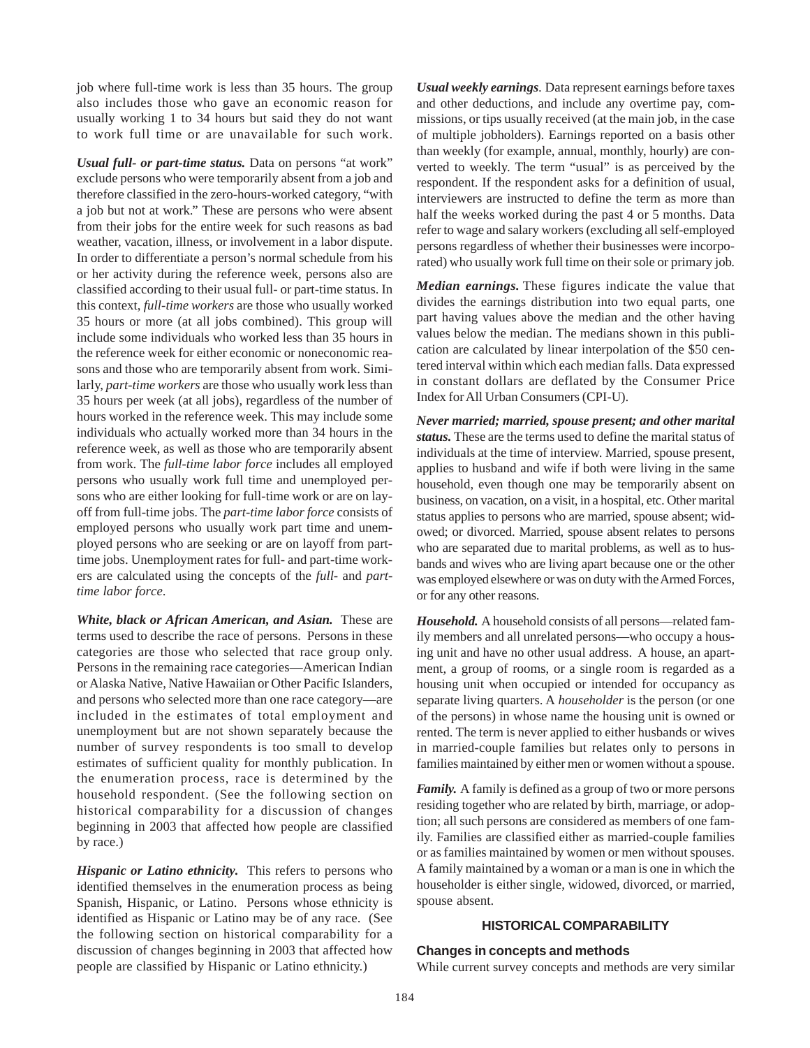job where full-time work is less than 35 hours. The group also includes those who gave an economic reason for usually working 1 to 34 hours but said they do not want to work full time or are unavailable for such work.

*Usual full- or part-time status.* Data on persons "at work" exclude persons who were temporarily absent from a job and therefore classified in the zero-hours-worked category, "with a job but not at work." These are persons who were absent from their jobs for the entire week for such reasons as bad weather, vacation, illness, or involvement in a labor dispute. In order to differentiate a person's normal schedule from his or her activity during the reference week, persons also are classified according to their usual full- or part-time status. In this context, *full-time workers* are those who usually worked 35 hours or more (at all jobs combined). This group will include some individuals who worked less than 35 hours in the reference week for either economic or noneconomic reasons and those who are temporarily absent from work. Similarly, *part-time workers* are those who usually work less than 35 hours per week (at all jobs), regardless of the number of hours worked in the reference week. This may include some individuals who actually worked more than 34 hours in the reference week, as well as those who are temporarily absent from work. The *full-time labor force* includes all employed persons who usually work full time and unemployed persons who are either looking for full-time work or are on layoff from full-time jobs. The *part-time labor force* consists of employed persons who usually work part time and unemployed persons who are seeking or are on layoff from parttime jobs. Unemployment rates for full- and part-time workers are calculated using the concepts of the *full*- and *parttime labor force*.

*White, black or African American, and Asian.* These are terms used to describe the race of persons. Persons in these categories are those who selected that race group only. Persons in the remaining race categories—American Indian or Alaska Native, Native Hawaiian or Other Pacific Islanders, and persons who selected more than one race category—are included in the estimates of total employment and unemployment but are not shown separately because the number of survey respondents is too small to develop estimates of sufficient quality for monthly publication. In the enumeration process, race is determined by the household respondent. (See the following section on historical comparability for a discussion of changes beginning in 2003 that affected how people are classified by race.)

*Hispanic or Latino ethnicity.* This refers to persons who identified themselves in the enumeration process as being Spanish, Hispanic, or Latino. Persons whose ethnicity is identified as Hispanic or Latino may be of any race. (See the following section on historical comparability for a discussion of changes beginning in 2003 that affected how people are classified by Hispanic or Latino ethnicity.)

*Usual weekly earnings*. Data represent earnings before taxes and other deductions, and include any overtime pay, commissions, or tips usually received (at the main job, in the case of multiple jobholders). Earnings reported on a basis other than weekly (for example, annual, monthly, hourly) are converted to weekly. The term "usual" is as perceived by the respondent. If the respondent asks for a definition of usual, interviewers are instructed to define the term as more than half the weeks worked during the past 4 or 5 months. Data refer to wage and salary workers (excluding all self-employed persons regardless of whether their businesses were incorporated) who usually work full time on their sole or primary job.

*Median earnings.* These figures indicate the value that divides the earnings distribution into two equal parts, one part having values above the median and the other having values below the median. The medians shown in this publication are calculated by linear interpolation of the \$50 centered interval within which each median falls. Data expressed in constant dollars are deflated by the Consumer Price Index for All Urban Consumers (CPI-U).

*Never married; married, spouse present; and other marital status.* These are the terms used to define the marital status of individuals at the time of interview. Married, spouse present, applies to husband and wife if both were living in the same household, even though one may be temporarily absent on business, on vacation, on a visit, in a hospital, etc. Other marital status applies to persons who are married, spouse absent; widowed; or divorced. Married, spouse absent relates to persons who are separated due to marital problems, as well as to husbands and wives who are living apart because one or the other was employed elsewhere or was on duty with the Armed Forces, or for any other reasons.

*Household.* A household consists of all persons—related family members and all unrelated persons—who occupy a housing unit and have no other usual address. A house, an apartment, a group of rooms, or a single room is regarded as a housing unit when occupied or intended for occupancy as separate living quarters. A *householder* is the person (or one of the persons) in whose name the housing unit is owned or rented. The term is never applied to either husbands or wives in married-couple families but relates only to persons in families maintained by either men or women without a spouse.

*Family.* A family is defined as a group of two or more persons residing together who are related by birth, marriage, or adoption; all such persons are considered as members of one family. Families are classified either as married-couple families or as families maintained by women or men without spouses. A family maintained by a woman or a man is one in which the householder is either single, widowed, divorced, or married, spouse absent.

### **HISTORICAL COMPARABILITY**

#### **Changes in concepts and methods**

While current survey concepts and methods are very similar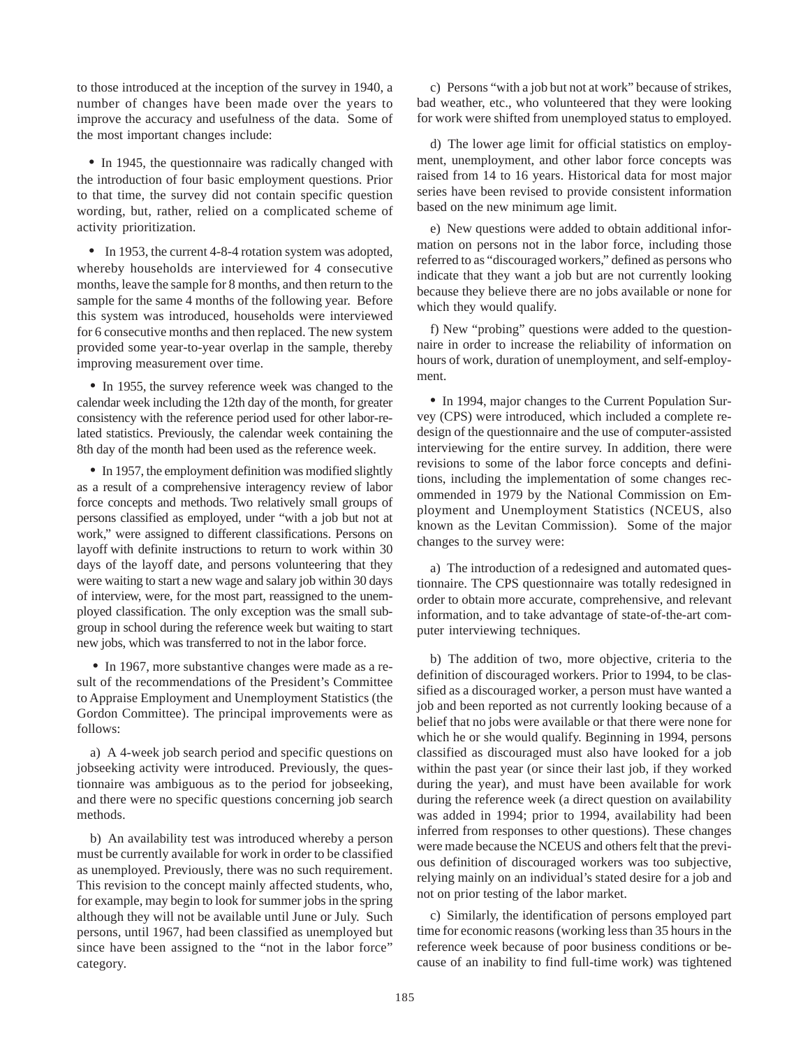to those introduced at the inception of the survey in 1940, a number of changes have been made over the years to improve the accuracy and usefulness of the data. Some of the most important changes include:

• In 1945, the questionnaire was radically changed with the introduction of four basic employment questions. Prior to that time, the survey did not contain specific question wording, but, rather, relied on a complicated scheme of activity prioritization.

• In 1953, the current 4-8-4 rotation system was adopted, whereby households are interviewed for 4 consecutive months, leave the sample for 8 months, and then return to the sample for the same 4 months of the following year. Before this system was introduced, households were interviewed for 6 consecutive months and then replaced. The new system provided some year-to-year overlap in the sample, thereby improving measurement over time.

• In 1955, the survey reference week was changed to the calendar week including the 12th day of the month, for greater consistency with the reference period used for other labor-related statistics. Previously, the calendar week containing the 8th day of the month had been used as the reference week.

• In 1957, the employment definition was modified slightly as a result of a comprehensive interagency review of labor force concepts and methods. Two relatively small groups of persons classified as employed, under "with a job but not at work," were assigned to different classifications. Persons on layoff with definite instructions to return to work within 30 days of the layoff date, and persons volunteering that they were waiting to start a new wage and salary job within 30 days of interview, were, for the most part, reassigned to the unemployed classification. The only exception was the small subgroup in school during the reference week but waiting to start new jobs, which was transferred to not in the labor force.

• In 1967, more substantive changes were made as a result of the recommendations of the President's Committee to Appraise Employment and Unemployment Statistics (the Gordon Committee). The principal improvements were as follows:

a) A 4-week job search period and specific questions on jobseeking activity were introduced. Previously, the questionnaire was ambiguous as to the period for jobseeking, and there were no specific questions concerning job search methods.

b) An availability test was introduced whereby a person must be currently available for work in order to be classified as unemployed. Previously, there was no such requirement. This revision to the concept mainly affected students, who, for example, may begin to look for summer jobs in the spring although they will not be available until June or July. Such persons, until 1967, had been classified as unemployed but since have been assigned to the "not in the labor force" category.

c) Persons "with a job but not at work" because of strikes, bad weather, etc., who volunteered that they were looking for work were shifted from unemployed status to employed.

d) The lower age limit for official statistics on employment, unemployment, and other labor force concepts was raised from 14 to 16 years. Historical data for most major series have been revised to provide consistent information based on the new minimum age limit.

e) New questions were added to obtain additional information on persons not in the labor force, including those referred to as "discouraged workers," defined as persons who indicate that they want a job but are not currently looking because they believe there are no jobs available or none for which they would qualify.

f) New "probing" questions were added to the questionnaire in order to increase the reliability of information on hours of work, duration of unemployment, and self-employment.

• In 1994, major changes to the Current Population Survey (CPS) were introduced, which included a complete redesign of the questionnaire and the use of computer-assisted interviewing for the entire survey. In addition, there were revisions to some of the labor force concepts and definitions, including the implementation of some changes recommended in 1979 by the National Commission on Employment and Unemployment Statistics (NCEUS, also known as the Levitan Commission). Some of the major changes to the survey were:

a) The introduction of a redesigned and automated questionnaire. The CPS questionnaire was totally redesigned in order to obtain more accurate, comprehensive, and relevant information, and to take advantage of state-of-the-art computer interviewing techniques.

b) The addition of two, more objective, criteria to the definition of discouraged workers. Prior to 1994, to be classified as a discouraged worker, a person must have wanted a job and been reported as not currently looking because of a belief that no jobs were available or that there were none for which he or she would qualify. Beginning in 1994, persons classified as discouraged must also have looked for a job within the past year (or since their last job, if they worked during the year), and must have been available for work during the reference week (a direct question on availability was added in 1994; prior to 1994, availability had been inferred from responses to other questions). These changes were made because the NCEUS and others felt that the previous definition of discouraged workers was too subjective, relying mainly on an individual's stated desire for a job and not on prior testing of the labor market.

c) Similarly, the identification of persons employed part time for economic reasons (working less than 35 hours in the reference week because of poor business conditions or because of an inability to find full-time work) was tightened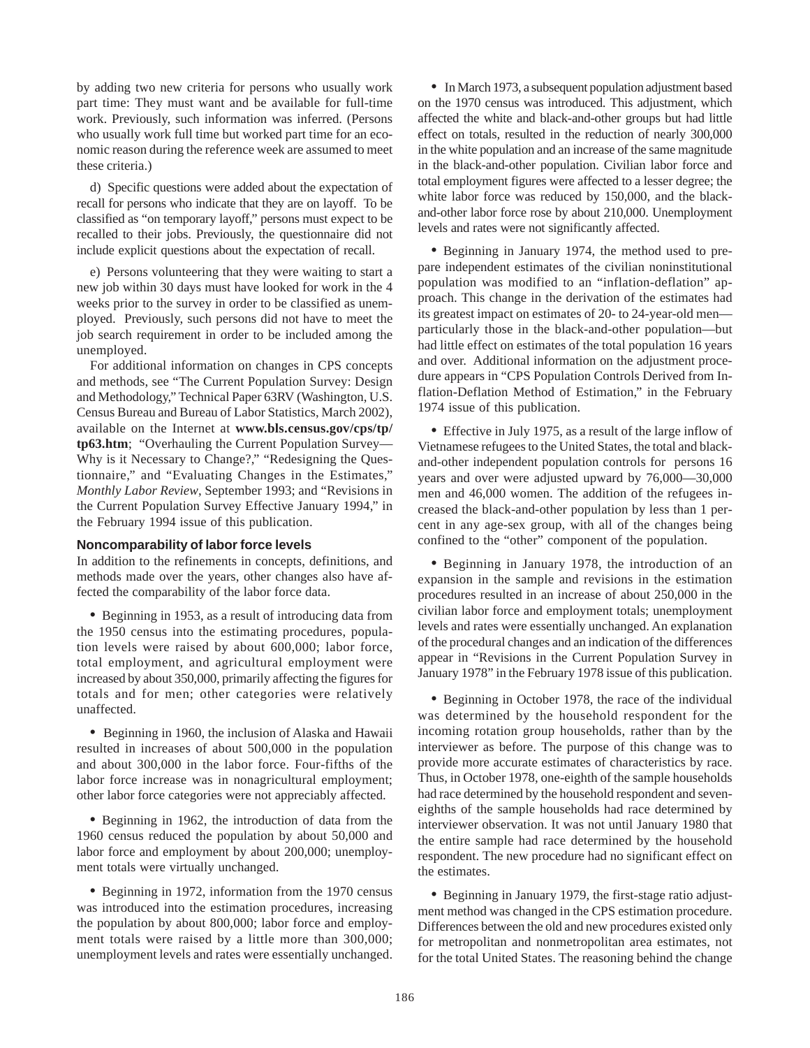by adding two new criteria for persons who usually work part time: They must want and be available for full-time work. Previously, such information was inferred. (Persons who usually work full time but worked part time for an economic reason during the reference week are assumed to meet these criteria.)

d) Specific questions were added about the expectation of recall for persons who indicate that they are on layoff. To be classified as "on temporary layoff," persons must expect to be recalled to their jobs. Previously, the questionnaire did not include explicit questions about the expectation of recall.

e) Persons volunteering that they were waiting to start a new job within 30 days must have looked for work in the 4 weeks prior to the survey in order to be classified as unemployed. Previously, such persons did not have to meet the job search requirement in order to be included among the unemployed.

For additional information on changes in CPS concepts and methods, see "The Current Population Survey: Design and Methodology," Technical Paper 63RV (Washington, U.S. Census Bureau and Bureau of Labor Statistics, March 2002), available on the Internet at **www.bls.census.gov/cps/tp/ tp63.htm**; "Overhauling the Current Population Survey— Why is it Necessary to Change?," "Redesigning the Questionnaire," and "Evaluating Changes in the Estimates," *Monthly Labor Review*, September 1993; and "Revisions in the Current Population Survey Effective January 1994," in the February 1994 issue of this publication.

#### **Noncomparability of labor force levels**

In addition to the refinements in concepts, definitions, and methods made over the years, other changes also have affected the comparability of the labor force data.

• Beginning in 1953, as a result of introducing data from the 1950 census into the estimating procedures, population levels were raised by about 600,000; labor force, total employment, and agricultural employment were increased by about 350,000, primarily affecting the figures for totals and for men; other categories were relatively unaffected.

• Beginning in 1960, the inclusion of Alaska and Hawaii resulted in increases of about 500,000 in the population and about 300,000 in the labor force. Four-fifths of the labor force increase was in nonagricultural employment; other labor force categories were not appreciably affected.

• Beginning in 1962, the introduction of data from the 1960 census reduced the population by about 50,000 and labor force and employment by about 200,000; unemployment totals were virtually unchanged.

• Beginning in 1972, information from the 1970 census was introduced into the estimation procedures, increasing the population by about 800,000; labor force and employment totals were raised by a little more than 300,000; unemployment levels and rates were essentially unchanged.

• In March 1973, a subsequent population adjustment based on the 1970 census was introduced. This adjustment, which affected the white and black-and-other groups but had little effect on totals, resulted in the reduction of nearly 300,000 in the white population and an increase of the same magnitude in the black-and-other population. Civilian labor force and total employment figures were affected to a lesser degree; the white labor force was reduced by 150,000, and the blackand-other labor force rose by about 210,000. Unemployment levels and rates were not significantly affected.

• Beginning in January 1974, the method used to prepare independent estimates of the civilian noninstitutional population was modified to an "inflation-deflation" approach. This change in the derivation of the estimates had its greatest impact on estimates of 20- to 24-year-old men particularly those in the black-and-other population—but had little effect on estimates of the total population 16 years and over. Additional information on the adjustment procedure appears in "CPS Population Controls Derived from Inflation-Deflation Method of Estimation," in the February 1974 issue of this publication.

• Effective in July 1975, as a result of the large inflow of Vietnamese refugees to the United States, the total and blackand-other independent population controls for persons 16 years and over were adjusted upward by 76,000—30,000 men and 46,000 women. The addition of the refugees increased the black-and-other population by less than 1 percent in any age-sex group, with all of the changes being confined to the "other" component of the population.

• Beginning in January 1978, the introduction of an expansion in the sample and revisions in the estimation procedures resulted in an increase of about 250,000 in the civilian labor force and employment totals; unemployment levels and rates were essentially unchanged. An explanation of the procedural changes and an indication of the differences appear in "Revisions in the Current Population Survey in January 1978" in the February 1978 issue of this publication.

• Beginning in October 1978, the race of the individual was determined by the household respondent for the incoming rotation group households, rather than by the interviewer as before. The purpose of this change was to provide more accurate estimates of characteristics by race. Thus, in October 1978, one-eighth of the sample households had race determined by the household respondent and seveneighths of the sample households had race determined by interviewer observation. It was not until January 1980 that the entire sample had race determined by the household respondent. The new procedure had no significant effect on the estimates.

• Beginning in January 1979, the first-stage ratio adjustment method was changed in the CPS estimation procedure. Differences between the old and new procedures existed only for metropolitan and nonmetropolitan area estimates, not for the total United States. The reasoning behind the change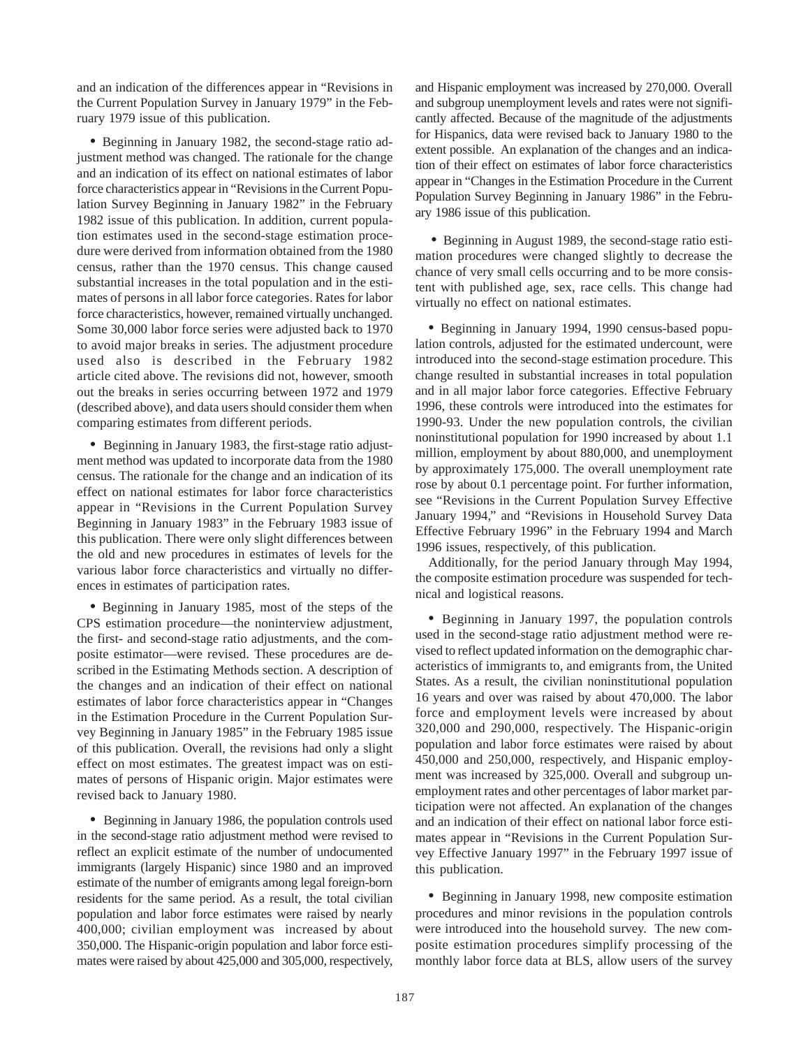and an indication of the differences appear in "Revisions in the Current Population Survey in January 1979" in the February 1979 issue of this publication.

• Beginning in January 1982, the second-stage ratio adjustment method was changed. The rationale for the change and an indication of its effect on national estimates of labor force characteristics appear in "Revisions in the Current Population Survey Beginning in January 1982" in the February 1982 issue of this publication. In addition, current population estimates used in the second-stage estimation procedure were derived from information obtained from the 1980 census, rather than the 1970 census. This change caused substantial increases in the total population and in the estimates of persons in all labor force categories. Rates for labor force characteristics, however, remained virtually unchanged. Some 30,000 labor force series were adjusted back to 1970 to avoid major breaks in series. The adjustment procedure used also is described in the February 1982 article cited above. The revisions did not, however, smooth out the breaks in series occurring between 1972 and 1979 (described above), and data users should consider them when comparing estimates from different periods.

• Beginning in January 1983, the first-stage ratio adjustment method was updated to incorporate data from the 1980 census. The rationale for the change and an indication of its effect on national estimates for labor force characteristics appear in "Revisions in the Current Population Survey Beginning in January 1983" in the February 1983 issue of this publication. There were only slight differences between the old and new procedures in estimates of levels for the various labor force characteristics and virtually no differences in estimates of participation rates.

• Beginning in January 1985, most of the steps of the CPS estimation procedure—the noninterview adjustment, the first- and second-stage ratio adjustments, and the composite estimator—were revised. These procedures are described in the Estimating Methods section. A description of the changes and an indication of their effect on national estimates of labor force characteristics appear in "Changes in the Estimation Procedure in the Current Population Survey Beginning in January 1985" in the February 1985 issue of this publication. Overall, the revisions had only a slight effect on most estimates. The greatest impact was on estimates of persons of Hispanic origin. Major estimates were revised back to January 1980.

• Beginning in January 1986, the population controls used in the second-stage ratio adjustment method were revised to reflect an explicit estimate of the number of undocumented immigrants (largely Hispanic) since 1980 and an improved estimate of the number of emigrants among legal foreign-born residents for the same period. As a result, the total civilian population and labor force estimates were raised by nearly 400,000; civilian employment was increased by about 350,000. The Hispanic-origin population and labor force estimates were raised by about 425,000 and 305,000, respectively, and Hispanic employment was increased by 270,000. Overall and subgroup unemployment levels and rates were not significantly affected. Because of the magnitude of the adjustments for Hispanics, data were revised back to January 1980 to the extent possible. An explanation of the changes and an indication of their effect on estimates of labor force characteristics appear in "Changes in the Estimation Procedure in the Current Population Survey Beginning in January 1986" in the February 1986 issue of this publication.

• Beginning in August 1989, the second-stage ratio estimation procedures were changed slightly to decrease the chance of very small cells occurring and to be more consistent with published age, sex, race cells. This change had virtually no effect on national estimates.

• Beginning in January 1994, 1990 census-based population controls, adjusted for the estimated undercount, were introduced into the second-stage estimation procedure. This change resulted in substantial increases in total population and in all major labor force categories. Effective February 1996, these controls were introduced into the estimates for 1990-93. Under the new population controls, the civilian noninstitutional population for 1990 increased by about 1.1 million, employment by about 880,000, and unemployment by approximately 175,000. The overall unemployment rate rose by about 0.1 percentage point. For further information, see "Revisions in the Current Population Survey Effective January 1994," and "Revisions in Household Survey Data Effective February 1996" in the February 1994 and March 1996 issues, respectively, of this publication.

Additionally, for the period January through May 1994, the composite estimation procedure was suspended for technical and logistical reasons.

• Beginning in January 1997, the population controls used in the second-stage ratio adjustment method were revised to reflect updated information on the demographic characteristics of immigrants to, and emigrants from, the United States. As a result, the civilian noninstitutional population 16 years and over was raised by about 470,000. The labor force and employment levels were increased by about 320,000 and 290,000, respectively. The Hispanic-origin population and labor force estimates were raised by about 450,000 and 250,000, respectively, and Hispanic employment was increased by 325,000. Overall and subgroup unemployment rates and other percentages of labor market participation were not affected. An explanation of the changes and an indication of their effect on national labor force estimates appear in "Revisions in the Current Population Survey Effective January 1997" in the February 1997 issue of this publication.

• Beginning in January 1998, new composite estimation procedures and minor revisions in the population controls were introduced into the household survey. The new composite estimation procedures simplify processing of the monthly labor force data at BLS, allow users of the survey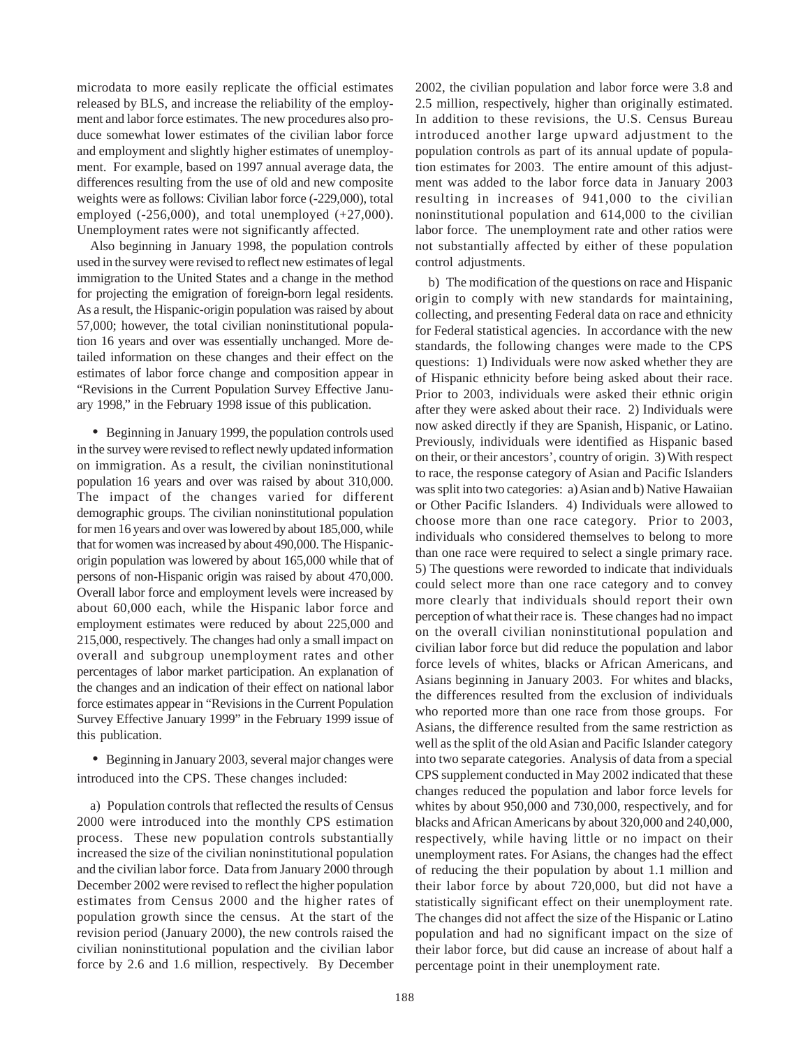microdata to more easily replicate the official estimates released by BLS, and increase the reliability of the employment and labor force estimates. The new procedures also produce somewhat lower estimates of the civilian labor force and employment and slightly higher estimates of unemployment. For example, based on 1997 annual average data, the differences resulting from the use of old and new composite weights were as follows: Civilian labor force (-229,000), total employed  $(-256,000)$ , and total unemployed  $(+27,000)$ . Unemployment rates were not significantly affected.

Also beginning in January 1998, the population controls used in the survey were revised to reflect new estimates of legal immigration to the United States and a change in the method for projecting the emigration of foreign-born legal residents. As a result, the Hispanic-origin population was raised by about 57,000; however, the total civilian noninstitutional population 16 years and over was essentially unchanged. More detailed information on these changes and their effect on the estimates of labor force change and composition appear in "Revisions in the Current Population Survey Effective January 1998," in the February 1998 issue of this publication.

• Beginning in January 1999, the population controls used in the survey were revised to reflect newly updated information on immigration. As a result, the civilian noninstitutional population 16 years and over was raised by about 310,000. The impact of the changes varied for different demographic groups. The civilian noninstitutional population for men 16 years and over was lowered by about 185,000, while that for women was increased by about 490,000. The Hispanicorigin population was lowered by about 165,000 while that of persons of non-Hispanic origin was raised by about 470,000. Overall labor force and employment levels were increased by about 60,000 each, while the Hispanic labor force and employment estimates were reduced by about 225,000 and 215,000, respectively. The changes had only a small impact on overall and subgroup unemployment rates and other percentages of labor market participation. An explanation of the changes and an indication of their effect on national labor force estimates appear in "Revisions in the Current Population Survey Effective January 1999" in the February 1999 issue of this publication.

• Beginning in January 2003, several major changes were introduced into the CPS. These changes included:

a) Population controls that reflected the results of Census 2000 were introduced into the monthly CPS estimation process. These new population controls substantially increased the size of the civilian noninstitutional population and the civilian labor force. Data from January 2000 through December 2002 were revised to reflect the higher population estimates from Census 2000 and the higher rates of population growth since the census. At the start of the revision period (January 2000), the new controls raised the civilian noninstitutional population and the civilian labor force by 2.6 and 1.6 million, respectively. By December

2002, the civilian population and labor force were 3.8 and 2.5 million, respectively, higher than originally estimated. In addition to these revisions, the U.S. Census Bureau introduced another large upward adjustment to the population controls as part of its annual update of population estimates for 2003. The entire amount of this adjustment was added to the labor force data in January 2003 resulting in increases of 941,000 to the civilian noninstitutional population and 614,000 to the civilian labor force. The unemployment rate and other ratios were not substantially affected by either of these population control adjustments.

b) The modification of the questions on race and Hispanic origin to comply with new standards for maintaining, collecting, and presenting Federal data on race and ethnicity for Federal statistical agencies. In accordance with the new standards, the following changes were made to the CPS questions: 1) Individuals were now asked whether they are of Hispanic ethnicity before being asked about their race. Prior to 2003, individuals were asked their ethnic origin after they were asked about their race. 2) Individuals were now asked directly if they are Spanish, Hispanic, or Latino. Previously, individuals were identified as Hispanic based on their, or their ancestors', country of origin. 3) With respect to race, the response category of Asian and Pacific Islanders was split into two categories: a) Asian and b) Native Hawaiian or Other Pacific Islanders. 4) Individuals were allowed to choose more than one race category. Prior to 2003, individuals who considered themselves to belong to more than one race were required to select a single primary race. 5) The questions were reworded to indicate that individuals could select more than one race category and to convey more clearly that individuals should report their own perception of what their race is. These changes had no impact on the overall civilian noninstitutional population and civilian labor force but did reduce the population and labor force levels of whites, blacks or African Americans, and Asians beginning in January 2003. For whites and blacks, the differences resulted from the exclusion of individuals who reported more than one race from those groups. For Asians, the difference resulted from the same restriction as well as the split of the old Asian and Pacific Islander category into two separate categories. Analysis of data from a special CPS supplement conducted in May 2002 indicated that these changes reduced the population and labor force levels for whites by about 950,000 and 730,000, respectively, and for blacks and African Americans by about 320,000 and 240,000, respectively, while having little or no impact on their unemployment rates. For Asians, the changes had the effect of reducing the their population by about 1.1 million and their labor force by about 720,000, but did not have a statistically significant effect on their unemployment rate. The changes did not affect the size of the Hispanic or Latino population and had no significant impact on the size of their labor force, but did cause an increase of about half a percentage point in their unemployment rate.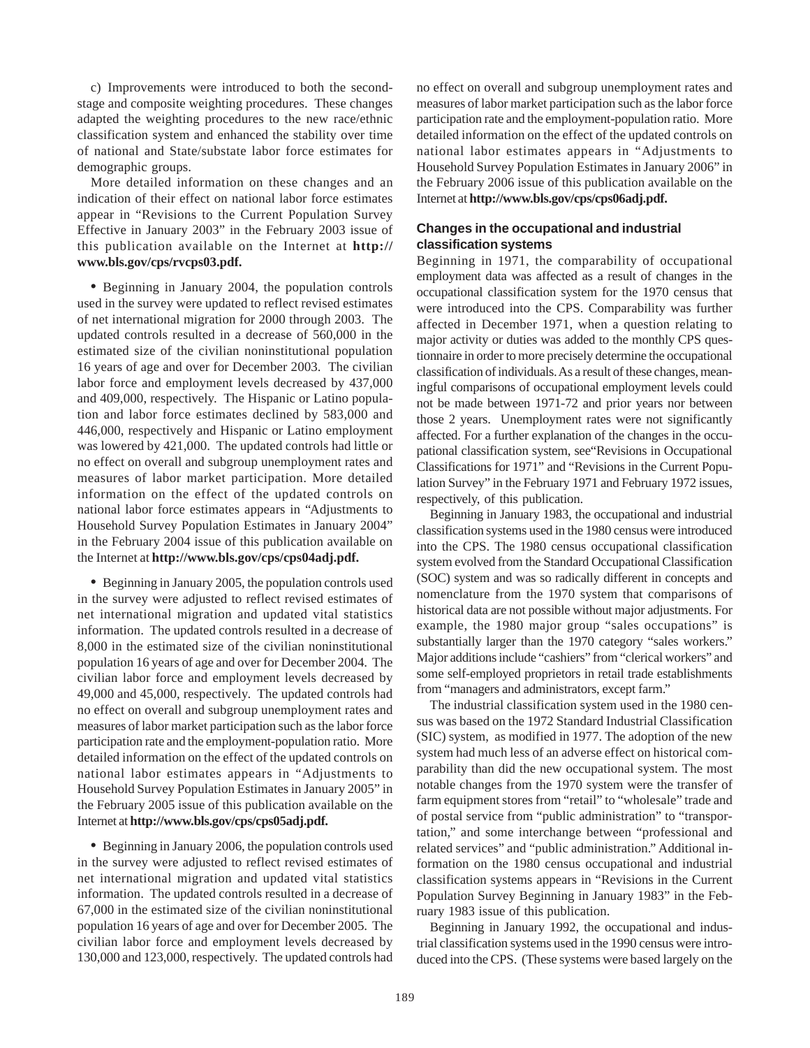c) Improvements were introduced to both the secondstage and composite weighting procedures. These changes adapted the weighting procedures to the new race/ethnic classification system and enhanced the stability over time of national and State/substate labor force estimates for demographic groups.

More detailed information on these changes and an indication of their effect on national labor force estimates appear in "Revisions to the Current Population Survey Effective in January 2003" in the February 2003 issue of this publication available on the Internet at **http:// www.bls.gov/cps/rvcps03.pdf.**

• Beginning in January 2004, the population controls used in the survey were updated to reflect revised estimates of net international migration for 2000 through 2003. The updated controls resulted in a decrease of 560,000 in the estimated size of the civilian noninstitutional population 16 years of age and over for December 2003. The civilian labor force and employment levels decreased by 437,000 and 409,000, respectively. The Hispanic or Latino population and labor force estimates declined by 583,000 and 446,000, respectively and Hispanic or Latino employment was lowered by 421,000. The updated controls had little or no effect on overall and subgroup unemployment rates and measures of labor market participation. More detailed information on the effect of the updated controls on national labor force estimates appears in "Adjustments to Household Survey Population Estimates in January 2004" in the February 2004 issue of this publication available on the Internet at **http://www.bls.gov/cps/cps04adj.pdf.**

• Beginning in January 2005, the population controls used in the survey were adjusted to reflect revised estimates of net international migration and updated vital statistics information. The updated controls resulted in a decrease of 8,000 in the estimated size of the civilian noninstitutional population 16 years of age and over for December 2004. The civilian labor force and employment levels decreased by 49,000 and 45,000, respectively. The updated controls had no effect on overall and subgroup unemployment rates and measures of labor market participation such as the labor force participation rate and the employment-population ratio. More detailed information on the effect of the updated controls on national labor estimates appears in "Adjustments to Household Survey Population Estimates in January 2005" in the February 2005 issue of this publication available on the Internet at **http://www.bls.gov/cps/cps05adj.pdf.**

• Beginning in January 2006, the population controls used in the survey were adjusted to reflect revised estimates of net international migration and updated vital statistics information. The updated controls resulted in a decrease of 67,000 in the estimated size of the civilian noninstitutional population 16 years of age and over for December 2005. The civilian labor force and employment levels decreased by 130,000 and 123,000, respectively. The updated controls had no effect on overall and subgroup unemployment rates and measures of labor market participation such as the labor force participation rate and the employment-population ratio. More detailed information on the effect of the updated controls on national labor estimates appears in "Adjustments to Household Survey Population Estimates in January 2006" in the February 2006 issue of this publication available on the Internet at **http://www.bls.gov/cps/cps06adj.pdf.**

## **Changes in the occupational and industrial classification systems**

Beginning in 1971, the comparability of occupational employment data was affected as a result of changes in the occupational classification system for the 1970 census that were introduced into the CPS. Comparability was further affected in December 1971, when a question relating to major activity or duties was added to the monthly CPS questionnaire in order to more precisely determine the occupational classification of individuals. As a result of these changes, meaningful comparisons of occupational employment levels could not be made between 1971-72 and prior years nor between those 2 years. Unemployment rates were not significantly affected. For a further explanation of the changes in the occupational classification system, see"Revisions in Occupational Classifications for 1971" and "Revisions in the Current Population Survey" in the February 1971 and February 1972 issues, respectively, of this publication.

Beginning in January 1983, the occupational and industrial classification systems used in the 1980 census were introduced into the CPS. The 1980 census occupational classification system evolved from the Standard Occupational Classification (SOC) system and was so radically different in concepts and nomenclature from the 1970 system that comparisons of historical data are not possible without major adjustments. For example, the 1980 major group "sales occupations" is substantially larger than the 1970 category "sales workers." Major additions include "cashiers" from "clerical workers" and some self-employed proprietors in retail trade establishments from "managers and administrators, except farm."

The industrial classification system used in the 1980 census was based on the 1972 Standard Industrial Classification (SIC) system, as modified in 1977. The adoption of the new system had much less of an adverse effect on historical comparability than did the new occupational system. The most notable changes from the 1970 system were the transfer of farm equipment stores from "retail" to "wholesale" trade and of postal service from "public administration" to "transportation," and some interchange between "professional and related services" and "public administration." Additional information on the 1980 census occupational and industrial classification systems appears in "Revisions in the Current Population Survey Beginning in January 1983" in the February 1983 issue of this publication.

Beginning in January 1992, the occupational and industrial classification systems used in the 1990 census were introduced into the CPS. (These systems were based largely on the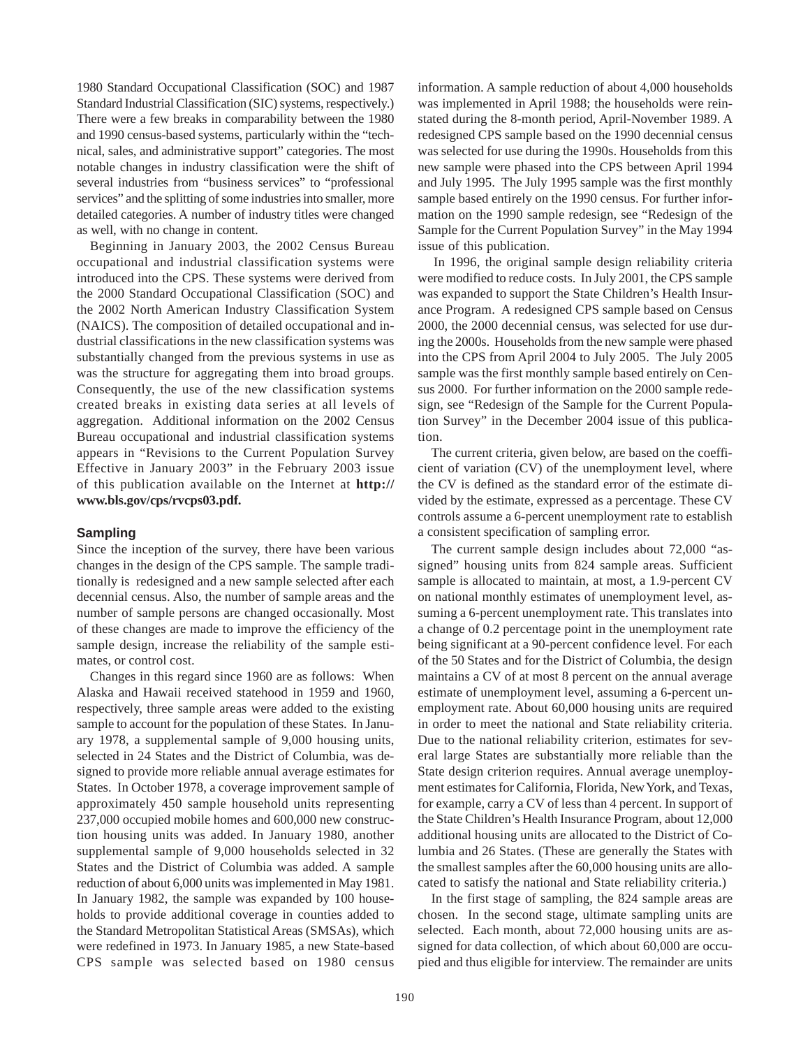1980 Standard Occupational Classification (SOC) and 1987 Standard Industrial Classification (SIC) systems, respectively.) There were a few breaks in comparability between the 1980 and 1990 census-based systems, particularly within the "technical, sales, and administrative support" categories. The most notable changes in industry classification were the shift of several industries from "business services" to "professional services" and the splitting of some industries into smaller, more detailed categories. A number of industry titles were changed as well, with no change in content.

Beginning in January 2003, the 2002 Census Bureau occupational and industrial classification systems were introduced into the CPS. These systems were derived from the 2000 Standard Occupational Classification (SOC) and the 2002 North American Industry Classification System (NAICS). The composition of detailed occupational and industrial classifications in the new classification systems was substantially changed from the previous systems in use as was the structure for aggregating them into broad groups. Consequently, the use of the new classification systems created breaks in existing data series at all levels of aggregation. Additional information on the 2002 Census Bureau occupational and industrial classification systems appears in "Revisions to the Current Population Survey Effective in January 2003" in the February 2003 issue of this publication available on the Internet at **http:// www.bls.gov/cps/rvcps03.pdf.**

### **Sampling**

Since the inception of the survey, there have been various changes in the design of the CPS sample. The sample traditionally is redesigned and a new sample selected after each decennial census. Also, the number of sample areas and the number of sample persons are changed occasionally. Most of these changes are made to improve the efficiency of the sample design, increase the reliability of the sample estimates, or control cost.

Changes in this regard since 1960 are as follows: When Alaska and Hawaii received statehood in 1959 and 1960, respectively, three sample areas were added to the existing sample to account for the population of these States. In January 1978, a supplemental sample of 9,000 housing units, selected in 24 States and the District of Columbia, was designed to provide more reliable annual average estimates for States. In October 1978, a coverage improvement sample of approximately 450 sample household units representing 237,000 occupied mobile homes and 600,000 new construction housing units was added. In January 1980, another supplemental sample of 9,000 households selected in 32 States and the District of Columbia was added. A sample reduction of about 6,000 units was implemented in May 1981. In January 1982, the sample was expanded by 100 households to provide additional coverage in counties added to the Standard Metropolitan Statistical Areas (SMSAs), which were redefined in 1973. In January 1985, a new State-based CPS sample was selected based on 1980 census

information. A sample reduction of about 4,000 households was implemented in April 1988; the households were reinstated during the 8-month period, April-November 1989. A redesigned CPS sample based on the 1990 decennial census was selected for use during the 1990s. Households from this new sample were phased into the CPS between April 1994 and July 1995. The July 1995 sample was the first monthly sample based entirely on the 1990 census. For further information on the 1990 sample redesign, see "Redesign of the Sample for the Current Population Survey" in the May 1994 issue of this publication.

In 1996, the original sample design reliability criteria were modified to reduce costs. In July 2001, the CPS sample was expanded to support the State Children's Health Insurance Program. A redesigned CPS sample based on Census 2000, the 2000 decennial census, was selected for use during the 2000s. Households from the new sample were phased into the CPS from April 2004 to July 2005. The July 2005 sample was the first monthly sample based entirely on Census 2000. For further information on the 2000 sample redesign, see "Redesign of the Sample for the Current Population Survey" in the December 2004 issue of this publication.

The current criteria, given below, are based on the coefficient of variation (CV) of the unemployment level, where the CV is defined as the standard error of the estimate divided by the estimate, expressed as a percentage. These CV controls assume a 6-percent unemployment rate to establish a consistent specification of sampling error.

The current sample design includes about 72,000 "assigned" housing units from 824 sample areas. Sufficient sample is allocated to maintain, at most, a 1.9-percent CV on national monthly estimates of unemployment level, assuming a 6-percent unemployment rate. This translates into a change of 0.2 percentage point in the unemployment rate being significant at a 90-percent confidence level. For each of the 50 States and for the District of Columbia, the design maintains a CV of at most 8 percent on the annual average estimate of unemployment level, assuming a 6-percent unemployment rate. About 60,000 housing units are required in order to meet the national and State reliability criteria. Due to the national reliability criterion, estimates for several large States are substantially more reliable than the State design criterion requires. Annual average unemployment estimates for California, Florida, New York, and Texas, for example, carry a CV of less than 4 percent. In support of the State Children's Health Insurance Program, about 12,000 additional housing units are allocated to the District of Columbia and 26 States. (These are generally the States with the smallest samples after the 60,000 housing units are allocated to satisfy the national and State reliability criteria.)

In the first stage of sampling, the 824 sample areas are chosen. In the second stage, ultimate sampling units are selected. Each month, about 72,000 housing units are assigned for data collection, of which about 60,000 are occupied and thus eligible for interview. The remainder are units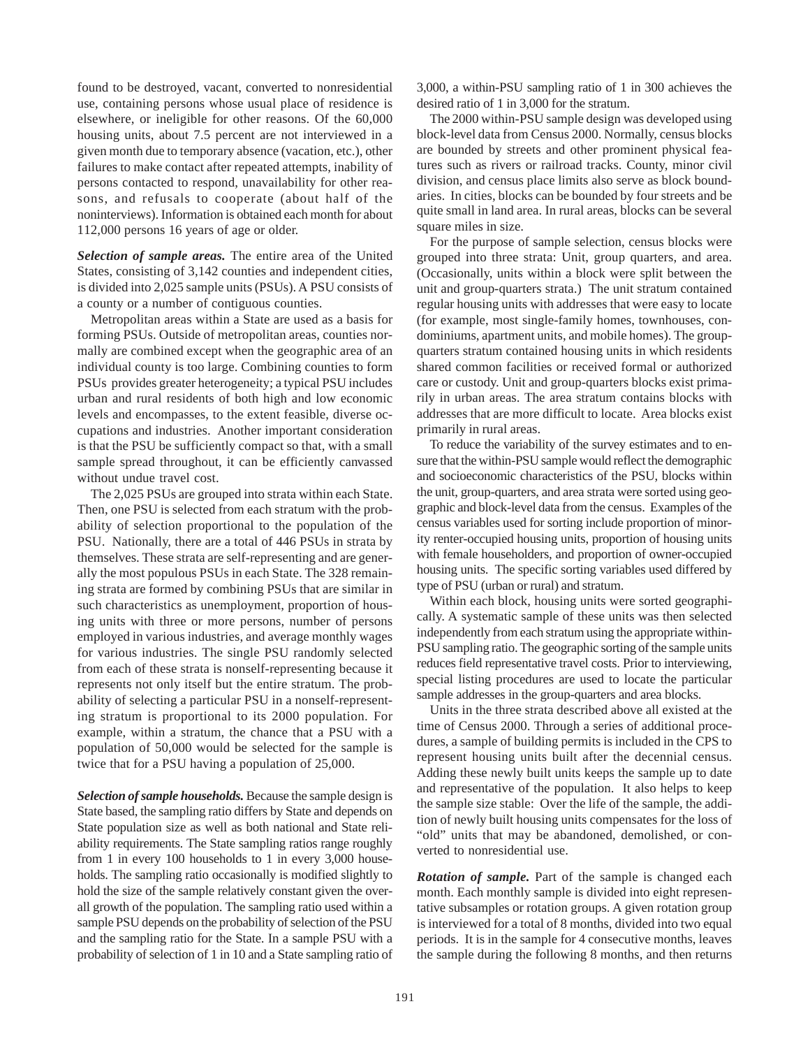found to be destroyed, vacant, converted to nonresidential use, containing persons whose usual place of residence is elsewhere, or ineligible for other reasons. Of the 60,000 housing units, about 7.5 percent are not interviewed in a given month due to temporary absence (vacation, etc.), other failures to make contact after repeated attempts, inability of persons contacted to respond, unavailability for other reasons, and refusals to cooperate (about half of the noninterviews). Information is obtained each month for about 112,000 persons 16 years of age or older.

*Selection of sample areas.* The entire area of the United States, consisting of 3,142 counties and independent cities, is divided into 2,025 sample units (PSUs). A PSU consists of a county or a number of contiguous counties.

Metropolitan areas within a State are used as a basis for forming PSUs. Outside of metropolitan areas, counties normally are combined except when the geographic area of an individual county is too large. Combining counties to form PSUs provides greater heterogeneity; a typical PSU includes urban and rural residents of both high and low economic levels and encompasses, to the extent feasible, diverse occupations and industries. Another important consideration is that the PSU be sufficiently compact so that, with a small sample spread throughout, it can be efficiently canvassed without undue travel cost.

The 2,025 PSUs are grouped into strata within each State. Then, one PSU is selected from each stratum with the probability of selection proportional to the population of the PSU. Nationally, there are a total of 446 PSUs in strata by themselves. These strata are self-representing and are generally the most populous PSUs in each State. The 328 remaining strata are formed by combining PSUs that are similar in such characteristics as unemployment, proportion of housing units with three or more persons, number of persons employed in various industries, and average monthly wages for various industries. The single PSU randomly selected from each of these strata is nonself-representing because it represents not only itself but the entire stratum. The probability of selecting a particular PSU in a nonself-representing stratum is proportional to its 2000 population. For example, within a stratum, the chance that a PSU with a population of 50,000 would be selected for the sample is twice that for a PSU having a population of 25,000.

*Selection of sample households.* Because the sample design is State based, the sampling ratio differs by State and depends on State population size as well as both national and State reliability requirements. The State sampling ratios range roughly from 1 in every 100 households to 1 in every 3,000 households. The sampling ratio occasionally is modified slightly to hold the size of the sample relatively constant given the overall growth of the population. The sampling ratio used within a sample PSU depends on the probability of selection of the PSU and the sampling ratio for the State. In a sample PSU with a probability of selection of 1 in 10 and a State sampling ratio of 3,000, a within-PSU sampling ratio of 1 in 300 achieves the desired ratio of 1 in 3,000 for the stratum.

The 2000 within-PSU sample design was developed using block-level data from Census 2000. Normally, census blocks are bounded by streets and other prominent physical features such as rivers or railroad tracks. County, minor civil division, and census place limits also serve as block boundaries. In cities, blocks can be bounded by four streets and be quite small in land area. In rural areas, blocks can be several square miles in size.

For the purpose of sample selection, census blocks were grouped into three strata: Unit, group quarters, and area. (Occasionally, units within a block were split between the unit and group-quarters strata.) The unit stratum contained regular housing units with addresses that were easy to locate (for example, most single-family homes, townhouses, condominiums, apartment units, and mobile homes). The groupquarters stratum contained housing units in which residents shared common facilities or received formal or authorized care or custody. Unit and group-quarters blocks exist primarily in urban areas. The area stratum contains blocks with addresses that are more difficult to locate. Area blocks exist primarily in rural areas.

To reduce the variability of the survey estimates and to ensure that the within-PSU sample would reflect the demographic and socioeconomic characteristics of the PSU, blocks within the unit, group-quarters, and area strata were sorted using geographic and block-level data from the census. Examples of the census variables used for sorting include proportion of minority renter-occupied housing units, proportion of housing units with female householders, and proportion of owner-occupied housing units. The specific sorting variables used differed by type of PSU (urban or rural) and stratum.

Within each block, housing units were sorted geographically. A systematic sample of these units was then selected independently from each stratum using the appropriate within-PSU sampling ratio. The geographic sorting of the sample units reduces field representative travel costs. Prior to interviewing, special listing procedures are used to locate the particular sample addresses in the group-quarters and area blocks.

Units in the three strata described above all existed at the time of Census 2000. Through a series of additional procedures, a sample of building permits is included in the CPS to represent housing units built after the decennial census. Adding these newly built units keeps the sample up to date and representative of the population. It also helps to keep the sample size stable: Over the life of the sample, the addition of newly built housing units compensates for the loss of "old" units that may be abandoned, demolished, or converted to nonresidential use.

*Rotation of sample.* Part of the sample is changed each month. Each monthly sample is divided into eight representative subsamples or rotation groups. A given rotation group is interviewed for a total of 8 months, divided into two equal periods. It is in the sample for 4 consecutive months, leaves the sample during the following 8 months, and then returns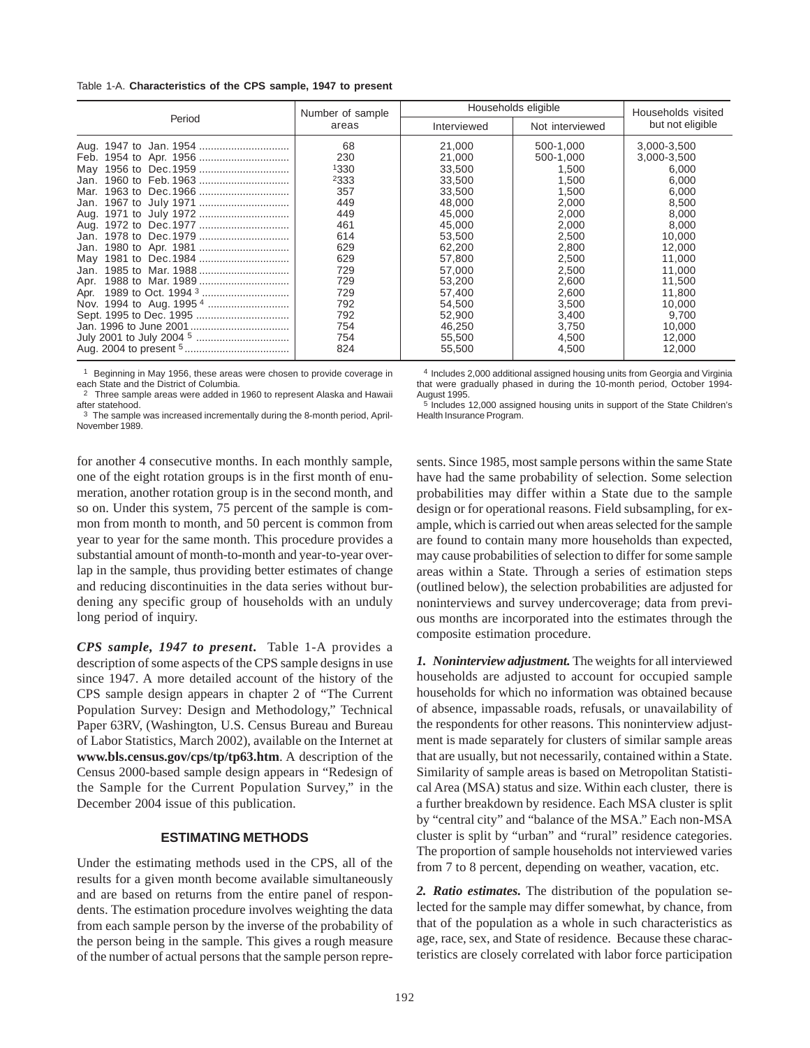#### Table 1-A. **Characteristics of the CPS sample, 1947 to present**

|                                                                                                  | Number of sample                                                                                                     | Households eligible                                                                                                                                                    | Households visited                                                                                                                                            |                                                                                                                                                                           |
|--------------------------------------------------------------------------------------------------|----------------------------------------------------------------------------------------------------------------------|------------------------------------------------------------------------------------------------------------------------------------------------------------------------|---------------------------------------------------------------------------------------------------------------------------------------------------------------|---------------------------------------------------------------------------------------------------------------------------------------------------------------------------|
| Period                                                                                           | areas                                                                                                                | Interviewed                                                                                                                                                            | Not interviewed                                                                                                                                               | but not eligible                                                                                                                                                          |
| 1960 to Feb. 1963<br>Jan.<br>Mar.<br>Jan.<br>Aug.<br>Jan.<br>Jan.<br>May<br>Jan.<br>Apr.<br>Apr. | 68<br>230<br>1330<br>2333<br>357<br>449<br>449<br>461<br>614<br>629<br>629<br>729<br>729<br>729<br>792<br>792<br>754 | 21,000<br>21,000<br>33,500<br>33.500<br>33.500<br>48.000<br>45,000<br>45.000<br>53.500<br>62.200<br>57.800<br>57.000<br>53,200<br>57,400<br>54.500<br>52.900<br>46,250 | 500-1.000<br>500-1.000<br>1.500<br>1.500<br>1.500<br>2.000<br>2,000<br>2.000<br>2.500<br>2.800<br>2.500<br>2.500<br>2.600<br>2,600<br>3.500<br>3.400<br>3,750 | 3,000-3,500<br>3,000-3,500<br>6.000<br>6.000<br>6.000<br>8.500<br>8,000<br>8.000<br>10.000<br>12.000<br>11.000<br>11.000<br>11.500<br>11,800<br>10.000<br>9.700<br>10,000 |
|                                                                                                  | 754<br>824                                                                                                           | 55,500<br>55,500                                                                                                                                                       | 4.500<br>4,500                                                                                                                                                | 12.000<br>12,000                                                                                                                                                          |

1 Beginning in May 1956, these areas were chosen to provide coverage in each State and the District of Columbia.

<sup>2</sup> Three sample areas were added in 1960 to represent Alaska and Hawaii after statehood.

3 The sample was increased incrementally during the 8-month period, April-November 1989.

4 Includes 2,000 additional assigned housing units from Georgia and Virginia that were gradually phased in during the 10-month period, October 1994- August 1995.

5 Includes 12,000 assigned housing units in support of the State Children's Health Insurance Program.

for another 4 consecutive months. In each monthly sample, one of the eight rotation groups is in the first month of enumeration, another rotation group is in the second month, and so on. Under this system, 75 percent of the sample is common from month to month, and 50 percent is common from year to year for the same month. This procedure provides a substantial amount of month-to-month and year-to-year overlap in the sample, thus providing better estimates of change and reducing discontinuities in the data series without burdening any specific group of households with an unduly long period of inquiry.

*CPS sample, 1947 to present***.** Table 1-A provides a description of some aspects of the CPS sample designs in use since 1947. A more detailed account of the history of the CPS sample design appears in chapter 2 of "The Current Population Survey: Design and Methodology," Technical Paper 63RV, (Washington, U.S. Census Bureau and Bureau of Labor Statistics, March 2002), available on the Internet at **www.bls.census.gov/cps/tp/tp63.htm**. A description of the Census 2000-based sample design appears in "Redesign of the Sample for the Current Population Survey," in the December 2004 issue of this publication.

## **ESTIMATING METHODS**

Under the estimating methods used in the CPS, all of the results for a given month become available simultaneously and are based on returns from the entire panel of respondents. The estimation procedure involves weighting the data from each sample person by the inverse of the probability of the person being in the sample. This gives a rough measure of the number of actual persons that the sample person represents. Since 1985, most sample persons within the same State have had the same probability of selection. Some selection probabilities may differ within a State due to the sample design or for operational reasons. Field subsampling, for example, which is carried out when areas selected for the sample are found to contain many more households than expected, may cause probabilities of selection to differ for some sample areas within a State. Through a series of estimation steps (outlined below), the selection probabilities are adjusted for noninterviews and survey undercoverage; data from previous months are incorporated into the estimates through the composite estimation procedure.

*1. Noninterview adjustment.* The weights for all interviewed households are adjusted to account for occupied sample households for which no information was obtained because of absence, impassable roads, refusals, or unavailability of the respondents for other reasons. This noninterview adjustment is made separately for clusters of similar sample areas that are usually, but not necessarily, contained within a State. Similarity of sample areas is based on Metropolitan Statistical Area (MSA) status and size. Within each cluster, there is a further breakdown by residence. Each MSA cluster is split by "central city" and "balance of the MSA." Each non-MSA cluster is split by "urban" and "rural" residence categories. The proportion of sample households not interviewed varies from 7 to 8 percent, depending on weather, vacation, etc.

*2. Ratio estimates.* The distribution of the population selected for the sample may differ somewhat, by chance, from that of the population as a whole in such characteristics as age, race, sex, and State of residence. Because these characteristics are closely correlated with labor force participation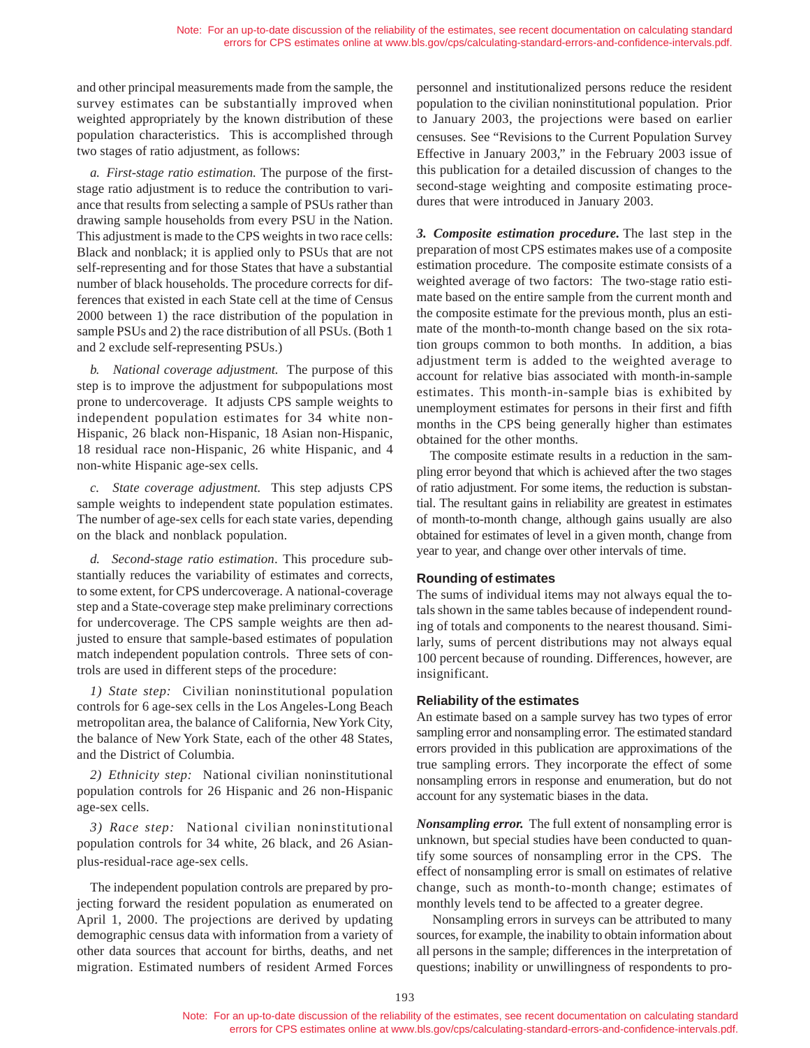and other principal measurements made from the sample, the survey estimates can be substantially improved when weighted appropriately by the known distribution of these population characteristics. This is accomplished through two stages of ratio adjustment, as follows:

*a. First-stage ratio estimation.* The purpose of the firststage ratio adjustment is to reduce the contribution to variance that results from selecting a sample of PSUs rather than drawing sample households from every PSU in the Nation. This adjustment is made to the CPS weights in two race cells: Black and nonblack; it is applied only to PSUs that are not self-representing and for those States that have a substantial number of black households. The procedure corrects for differences that existed in each State cell at the time of Census 2000 between 1) the race distribution of the population in sample PSUs and 2) the race distribution of all PSUs. (Both 1 and 2 exclude self-representing PSUs.)

*b. National coverage adjustment.* The purpose of this step is to improve the adjustment for subpopulations most prone to undercoverage. It adjusts CPS sample weights to independent population estimates for 34 white non-Hispanic, 26 black non-Hispanic, 18 Asian non-Hispanic, 18 residual race non-Hispanic, 26 white Hispanic, and 4 non-white Hispanic age-sex cells.

*c. State coverage adjustment.* This step adjusts CPS sample weights to independent state population estimates. The number of age-sex cells for each state varies, depending on the black and nonblack population.

*d. Second-stage ratio estimation*. This procedure substantially reduces the variability of estimates and corrects, to some extent, for CPS undercoverage. A national-coverage step and a State-coverage step make preliminary corrections for undercoverage. The CPS sample weights are then adjusted to ensure that sample-based estimates of population match independent population controls. Three sets of controls are used in different steps of the procedure:

*1) State step:* Civilian noninstitutional population controls for 6 age-sex cells in the Los Angeles-Long Beach metropolitan area, the balance of California, New York City, the balance of New York State, each of the other 48 States, and the District of Columbia.

*2) Ethnicity step:* National civilian noninstitutional population controls for 26 Hispanic and 26 non-Hispanic age-sex cells.

*3) Race step:* National civilian noninstitutional population controls for 34 white, 26 black, and 26 Asianplus-residual-race age-sex cells.

The independent population controls are prepared by projecting forward the resident population as enumerated on April 1, 2000. The projections are derived by updating demographic census data with information from a variety of other data sources that account for births, deaths, and net migration. Estimated numbers of resident Armed Forces

personnel and institutionalized persons reduce the resident population to the civilian noninstitutional population. Prior to January 2003, the projections were based on earlier censuses. See "Revisions to the Current Population Survey Effective in January 2003," in the February 2003 issue of this publication for a detailed discussion of changes to the second-stage weighting and composite estimating procedures that were introduced in January 2003.

*3. Composite estimation procedure.* The last step in the preparation of most CPS estimates makes use of a composite estimation procedure. The composite estimate consists of a weighted average of two factors: The two-stage ratio estimate based on the entire sample from the current month and the composite estimate for the previous month, plus an estimate of the month-to-month change based on the six rotation groups common to both months. In addition, a bias adjustment term is added to the weighted average to account for relative bias associated with month-in-sample estimates. This month-in-sample bias is exhibited by unemployment estimates for persons in their first and fifth months in the CPS being generally higher than estimates obtained for the other months.

The composite estimate results in a reduction in the sampling error beyond that which is achieved after the two stages of ratio adjustment. For some items, the reduction is substantial. The resultant gains in reliability are greatest in estimates of month-to-month change, although gains usually are also obtained for estimates of level in a given month, change from year to year, and change over other intervals of time.

## **Rounding of estimates**

The sums of individual items may not always equal the totals shown in the same tables because of independent rounding of totals and components to the nearest thousand. Similarly, sums of percent distributions may not always equal 100 percent because of rounding. Differences, however, are insignificant.

## **Reliability of the estimates**

An estimate based on a sample survey has two types of error sampling error and nonsampling error. The estimated standard errors provided in this publication are approximations of the true sampling errors. They incorporate the effect of some nonsampling errors in response and enumeration, but do not account for any systematic biases in the data.

*Nonsampling error.* The full extent of nonsampling error is unknown, but special studies have been conducted to quantify some sources of nonsampling error in the CPS. The effect of nonsampling error is small on estimates of relative change, such as month-to-month change; estimates of monthly levels tend to be affected to a greater degree.

Nonsampling errors in surveys can be attributed to many sources, for example, the inability to obtain information about all persons in the sample; differences in the interpretation of questions; inability or unwillingness of respondents to pro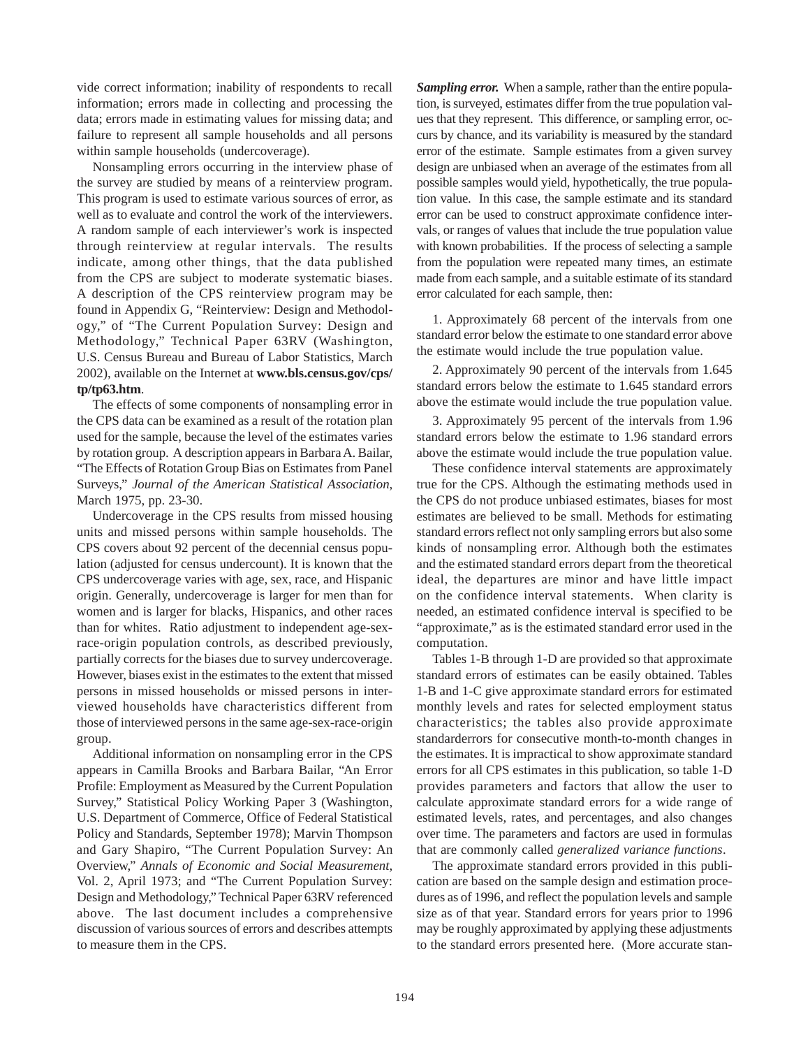vide correct information; inability of respondents to recall information; errors made in collecting and processing the data; errors made in estimating values for missing data; and failure to represent all sample households and all persons within sample households (undercoverage).

Nonsampling errors occurring in the interview phase of the survey are studied by means of a reinterview program. This program is used to estimate various sources of error, as well as to evaluate and control the work of the interviewers. A random sample of each interviewer's work is inspected through reinterview at regular intervals. The results indicate, among other things, that the data published from the CPS are subject to moderate systematic biases. A description of the CPS reinterview program may be found in Appendix G, "Reinterview: Design and Methodology," of "The Current Population Survey: Design and Methodology," Technical Paper 63RV (Washington, U.S. Census Bureau and Bureau of Labor Statistics, March 2002), available on the Internet at **www.bls.census.gov/cps/ tp/tp63.htm**.

The effects of some components of nonsampling error in the CPS data can be examined as a result of the rotation plan used for the sample, because the level of the estimates varies by rotation group. A description appears in Barbara A. Bailar, "The Effects of Rotation Group Bias on Estimates from Panel Surveys," *Journal of the American Statistical Association*, March 1975, pp. 23-30.

Undercoverage in the CPS results from missed housing units and missed persons within sample households. The CPS covers about 92 percent of the decennial census population (adjusted for census undercount). It is known that the CPS undercoverage varies with age, sex, race, and Hispanic origin. Generally, undercoverage is larger for men than for women and is larger for blacks, Hispanics, and other races than for whites. Ratio adjustment to independent age-sexrace-origin population controls, as described previously, partially corrects for the biases due to survey undercoverage. However, biases exist in the estimates to the extent that missed persons in missed households or missed persons in interviewed households have characteristics different from those of interviewed persons in the same age-sex-race-origin group.

Additional information on nonsampling error in the CPS appears in Camilla Brooks and Barbara Bailar, "An Error Profile: Employment as Measured by the Current Population Survey," Statistical Policy Working Paper 3 (Washington, U.S. Department of Commerce, Office of Federal Statistical Policy and Standards, September 1978); Marvin Thompson and Gary Shapiro, "The Current Population Survey: An Overview," *Annals of Economic and Social Measurement*, Vol. 2, April 1973; and "The Current Population Survey: Design and Methodology," Technical Paper 63RV referenced above. The last document includes a comprehensive discussion of various sources of errors and describes attempts to measure them in the CPS.

*Sampling error.*When a sample, rather than the entire population, is surveyed, estimates differ from the true population values that they represent. This difference, or sampling error, occurs by chance, and its variability is measured by the standard error of the estimate. Sample estimates from a given survey design are unbiased when an average of the estimates from all possible samples would yield, hypothetically, the true population value. In this case, the sample estimate and its standard error can be used to construct approximate confidence intervals, or ranges of values that include the true population value with known probabilities. If the process of selecting a sample from the population were repeated many times, an estimate made from each sample, and a suitable estimate of its standard error calculated for each sample, then:

1. Approximately 68 percent of the intervals from one standard error below the estimate to one standard error above the estimate would include the true population value.

2. Approximately 90 percent of the intervals from 1.645 standard errors below the estimate to 1.645 standard errors above the estimate would include the true population value.

3. Approximately 95 percent of the intervals from 1.96 standard errors below the estimate to 1.96 standard errors above the estimate would include the true population value.

These confidence interval statements are approximately true for the CPS. Although the estimating methods used in the CPS do not produce unbiased estimates, biases for most estimates are believed to be small. Methods for estimating standard errors reflect not only sampling errors but also some kinds of nonsampling error. Although both the estimates and the estimated standard errors depart from the theoretical ideal, the departures are minor and have little impact on the confidence interval statements. When clarity is needed, an estimated confidence interval is specified to be "approximate," as is the estimated standard error used in the computation.

Tables 1-B through 1-D are provided so that approximate standard errors of estimates can be easily obtained. Tables 1-B and 1-C give approximate standard errors for estimated monthly levels and rates for selected employment status characteristics; the tables also provide approximate standarderrors for consecutive month-to-month changes in the estimates. It is impractical to show approximate standard errors for all CPS estimates in this publication, so table 1-D provides parameters and factors that allow the user to calculate approximate standard errors for a wide range of estimated levels, rates, and percentages, and also changes over time. The parameters and factors are used in formulas that are commonly called *generalized variance functions*.

The approximate standard errors provided in this publication are based on the sample design and estimation procedures as of 1996, and reflect the population levels and sample size as of that year. Standard errors for years prior to 1996 may be roughly approximated by applying these adjustments to the standard errors presented here. (More accurate stan-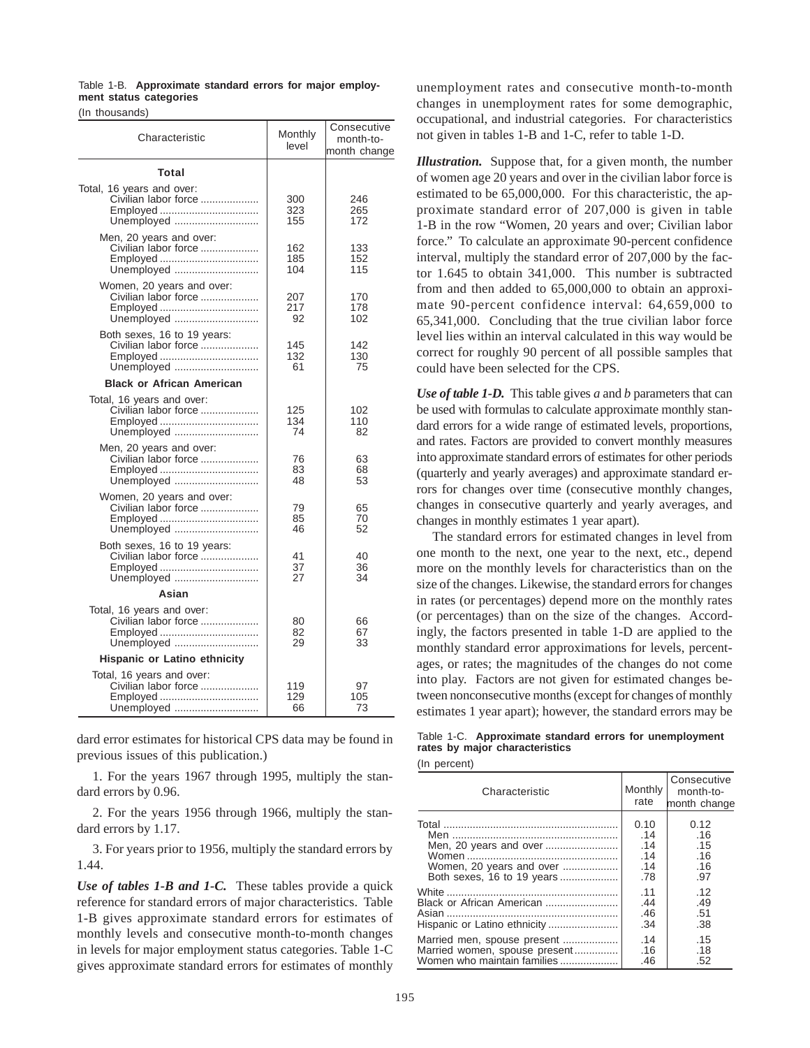|  | Table 1-B. Approximate standard errors for major employ- |  |  |  |
|--|----------------------------------------------------------|--|--|--|
|  | ment status categories                                   |  |  |  |
|  |                                                          |  |  |  |

(In thousands)

| Characteristic                                                                | Monthly<br>level  | Consecutive<br>month-to-<br>month change |
|-------------------------------------------------------------------------------|-------------------|------------------------------------------|
| Total                                                                         |                   |                                          |
| Total, 16 years and over:<br>Civilian labor force<br>Employed<br>Unemployed   | 300<br>323<br>155 | 246<br>265<br>172                        |
| Men, 20 years and over:<br>Civilian labor force<br>Employed<br>Unemployed     | 162<br>185<br>104 | 133<br>152<br>115                        |
| Women, 20 years and over:<br>Civilian labor force<br>Unemployed               | 207<br>217<br>92  | 170<br>178<br>102                        |
| Both sexes, 16 to 19 years:<br>Civilian labor force<br>Unemployed             | 145<br>132<br>61  | 142<br>130<br>75                         |
| <b>Black or African American</b>                                              |                   |                                          |
| Total, 16 years and over:<br>Civilian labor force<br>Unemployed               | 125<br>134<br>74  | 102<br>110<br>82                         |
| Men, 20 years and over:<br>Civilian labor force<br>Employed<br>Unemployed     | 76<br>83<br>48    | 63<br>68<br>53                           |
| Women, 20 years and over:<br>Civilian labor force<br>Unemployed               | 79<br>85<br>46    | 65<br>70<br>52                           |
| Both sexes, 16 to 19 years:<br>Civilian labor force<br>Employed<br>Unemployed | 41<br>37<br>27    | 40<br>36<br>34                           |
| Asian                                                                         |                   |                                          |
| Total, 16 years and over:<br>Civilian labor force<br>Employed<br>Unemployed   | 80<br>82<br>29    | 66<br>67<br>33                           |
| Hispanic or Latino ethnicity                                                  |                   |                                          |
| Total, 16 years and over:<br>Civilian labor force<br>Employed<br>Unemployed   | 119<br>129<br>66  | 97<br>105<br>73                          |

dard error estimates for historical CPS data may be found in previous issues of this publication.)

1. For the years 1967 through 1995, multiply the standard errors by 0.96.

2. For the years 1956 through 1966, multiply the standard errors by 1.17.

3. For years prior to 1956, multiply the standard errors by 1.44.

*Use of tables 1-B and 1-C.* These tables provide a quick reference for standard errors of major characteristics. Table 1-B gives approximate standard errors for estimates of monthly levels and consecutive month-to-month changes in levels for major employment status categories. Table 1-C gives approximate standard errors for estimates of monthly unemployment rates and consecutive month-to-month changes in unemployment rates for some demographic, occupational, and industrial categories. For characteristics not given in tables 1-B and 1-C, refer to table 1-D.

*Illustration.* Suppose that, for a given month, the number of women age 20 years and over in the civilian labor force is estimated to be 65,000,000. For this characteristic, the approximate standard error of 207,000 is given in table 1-B in the row "Women, 20 years and over; Civilian labor force." To calculate an approximate 90-percent confidence interval, multiply the standard error of 207,000 by the factor 1.645 to obtain 341,000. This number is subtracted from and then added to 65,000,000 to obtain an approximate 90-percent confidence interval: 64,659,000 to 65,341,000. Concluding that the true civilian labor force level lies within an interval calculated in this way would be correct for roughly 90 percent of all possible samples that could have been selected for the CPS.

*Use of table 1-D.*This table gives *a* and *b* parameters that can be used with formulas to calculate approximate monthly standard errors for a wide range of estimated levels, proportions, and rates. Factors are provided to convert monthly measures into approximate standard errors of estimates for other periods (quarterly and yearly averages) and approximate standard errors for changes over time (consecutive monthly changes, changes in consecutive quarterly and yearly averages, and changes in monthly estimates 1 year apart).

The standard errors for estimated changes in level from one month to the next, one year to the next, etc., depend more on the monthly levels for characteristics than on the size of the changes. Likewise, the standard errors for changes in rates (or percentages) depend more on the monthly rates (or percentages) than on the size of the changes. Accordingly, the factors presented in table 1-D are applied to the monthly standard error approximations for levels, percentages, or rates; the magnitudes of the changes do not come into play. Factors are not given for estimated changes between nonconsecutive months (except for changes of monthly estimates 1 year apart); however, the standard errors may be

|  |                                |  | Table 1-C. Approximate standard errors for unemployment |
|--|--------------------------------|--|---------------------------------------------------------|
|  | rates by major characteristics |  |                                                         |

(In percent)

| Characteristic                | Monthly<br>rate | Consecutive<br>month-to-<br>month change |
|-------------------------------|-----------------|------------------------------------------|
|                               | 0.10            | 0.12                                     |
|                               | .14             | .16                                      |
|                               | .14             | .15                                      |
|                               | .14             | .16                                      |
| Women, 20 years and over      | .14             | .16                                      |
|                               | .78             | .97                                      |
|                               | .11             | .12                                      |
|                               | .44             | .49                                      |
|                               | .46             | .51                                      |
|                               | .34             | .38                                      |
| Married men, spouse present   | .14             | .15                                      |
| Married women, spouse present | .16             | .18                                      |
| Women who maintain families   | .46             | .52                                      |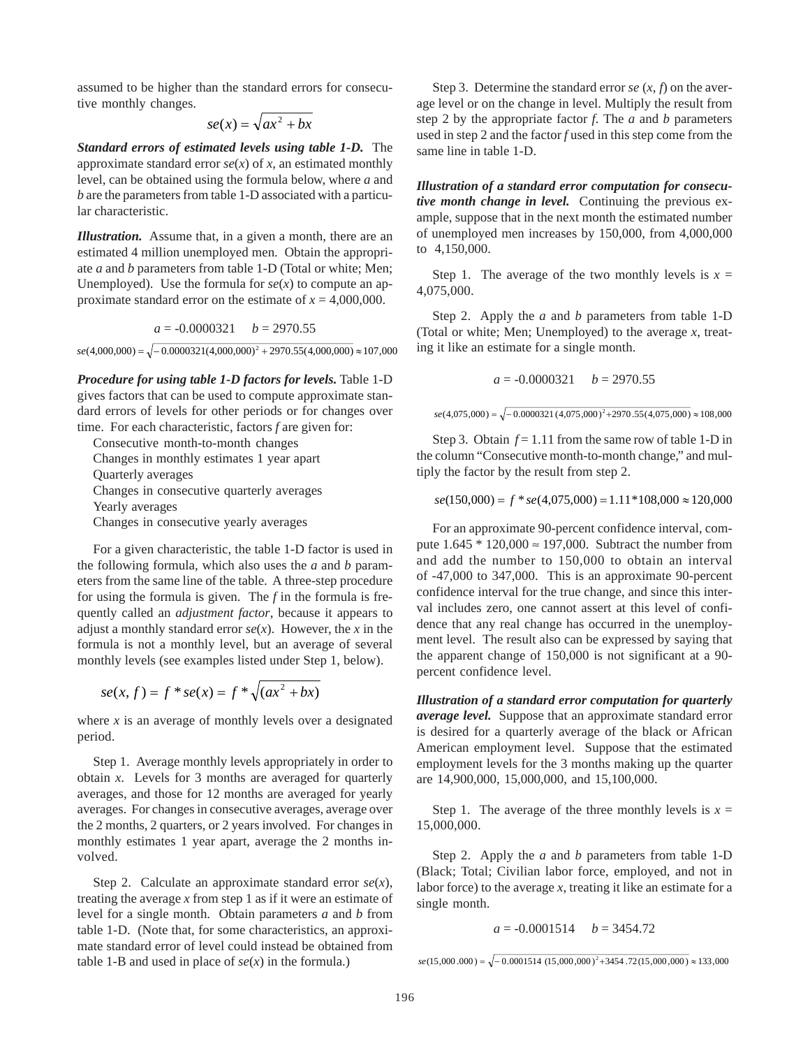assumed to be higher than the standard errors for consecutive monthly changes.

$$
se(x) = \sqrt{ax^2 + bx}
$$

*Standard errors of estimated levels using table 1-D.* The approximate standard error  $se(x)$  of x, an estimated monthly level, can be obtained using the formula below, where *a* and *b* are the parameters from table 1-D associated with a particular characteristic.

*Illustration.* Assume that, in a given a month, there are an estimated 4 million unemployed men. Obtain the appropriate *a* and *b* parameters from table 1-D (Total or white; Men; Unemployed). Use the formula for  $se(x)$  to compute an approximate standard error on the estimate of  $x = 4,000,000$ .

$$
a = -0.0000321 \quad b = 2970.55
$$

 $se(4,000,000) = \sqrt{-0.0000321(4,000,000)^2 + 2970.55(4,000,000)} \approx 107,000$ 

*Procedure for using table 1-D factors for levels.* Table 1-D gives factors that can be used to compute approximate standard errors of levels for other periods or for changes over time. For each characteristic, factors *f* are given for:

Consecutive month-to-month changes Changes in monthly estimates 1 year apart Quarterly averages Changes in consecutive quarterly averages Yearly averages Changes in consecutive yearly averages

For a given characteristic, the table 1-D factor is used in the following formula, which also uses the *a* and *b* parameters from the same line of the table. A three-step procedure for using the formula is given. The *f* in the formula is frequently called an *adjustment factor*, because it appears to adjust a monthly standard error  $se(x)$ . However, the *x* in the formula is not a monthly level, but an average of several monthly levels (see examples listed under Step 1, below).

$$
se(x, f) = f * se(x) = f * \sqrt{(ax^2 + bx)}
$$

where  $x$  is an average of monthly levels over a designated period.

Step 1.Average monthly levels appropriately in order to obtain *x*. Levels for 3 months are averaged for quarterly averages, and those for 12 months are averaged for yearly averages. For changes in consecutive averages, average over the 2 months, 2 quarters, or 2 years involved. For changes in monthly estimates 1 year apart, average the 2 months involved.

Step 2. Calculate an approximate standard error *se*(*x*), treating the average *x* from step 1 as if it were an estimate of level for a single month. Obtain parameters *a* and *b* from table 1-D. (Note that, for some characteristics, an approximate standard error of level could instead be obtained from table 1-B and used in place of  $se(x)$  in the formula.)

Step 3. Determine the standard error  $se(x, f)$  on the average level or on the change in level. Multiply the result from step 2 by the appropriate factor *f*. The *a* and *b* parameters used in step 2 and the factor *f* used in this step come from the same line in table 1-D.

*Illustration of a standard error computation for consecutive month change in level.* Continuing the previous example, suppose that in the next month the estimated number of unemployed men increases by 150,000, from 4,000,000 to 4,150,000.

Step 1. The average of the two monthly levels is  $x =$ 4,075,000.

Step 2. Apply the *a* and *b* parameters from table 1-D (Total or white; Men; Unemployed) to the average *x*, treating it like an estimate for a single month.

$$
a = -0.0000321 \quad b = 2970.55
$$

```
se(4,075,000) = \sqrt{-0.0000321(4,075,000)^2 + 2970.55(4,075,000)} \approx 108,000
```
Step 3. Obtain  $f = 1.11$  from the same row of table 1-D in the column "Consecutive month-to-month change," and multiply the factor by the result from step 2.

 $se(150,000) = f * se(4,075,000) = 1.11 * 108,000 \approx 120,000$ 

For an approximate 90-percent confidence interval, compute  $1.645 * 120,000 \approx 197,000$ . Subtract the number from and add the number to 150,000 to obtain an interval of -47,000 to 347,000. This is an approximate 90-percent confidence interval for the true change, and since this interval includes zero, one cannot assert at this level of confidence that any real change has occurred in the unemployment level. The result also can be expressed by saying that the apparent change of 150,000 is not significant at a 90 percent confidence level.

*Illustration of a standard error computation for quarterly average level.* Suppose that an approximate standard error is desired for a quarterly average of the black or African American employment level. Suppose that the estimated employment levels for the 3 months making up the quarter are 14,900,000, 15,000,000, and 15,100,000.

Step 1. The average of the three monthly levels is  $x =$ 15,000,000.

Step 2. Apply the *a* and *b* parameters from table 1-D (Black; Total; Civilian labor force, employed, and not in labor force) to the average *x*, treating it like an estimate for a single month.

 $a = -0.0001514$   $b = 3454.72$ 

 $se(15,000.000) = \sqrt{-0.0001514 (15,000,000)^2 + 3454.72(15,000,000)} \approx 133,000$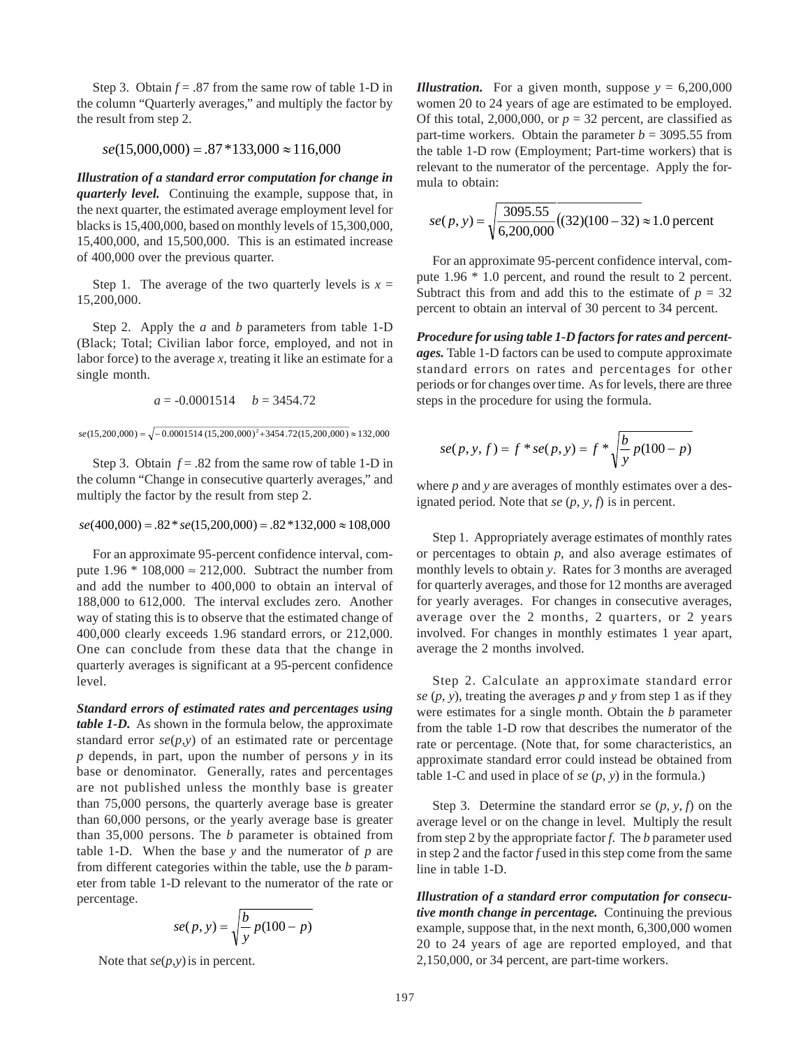Step 3. Obtain *f* = .87 from the same row of table 1-D in the column "Quarterly averages," and multiply the factor by the result from step 2.

 $se(15,000,000) = .87*133,000 \approx 116,000$ 

*Illustration of a standard error computation for change in quarterly level.* Continuing the example, suppose that, in the next quarter, the estimated average employment level for blacks is 15,400,000, based on monthly levels of 15,300,000, 15,400,000, and 15,500,000. This is an estimated increase of 400,000 over the previous quarter.

Step 1. The average of the two quarterly levels is  $x =$ 15,200,000.

Step 2. Apply the *a* and *b* parameters from table 1-D (Black; Total; Civilian labor force, employed, and not in labor force) to the average  $x$ , treating it like an estimate for a single month.

 $a = -0.0001514$   $b = 3454.72$ 

 $se(15,200,000) = \sqrt{-0.0001514 (15,200,000)^2 + 3454.72(15,200,000)} \approx 132,000$ 

Step 3. Obtain  $f = .82$  from the same row of table 1-D in the column "Change in consecutive quarterly averages," and multiply the factor by the result from step 2.

 $se(400,000) = .82 * se(15,200,000) = .82 * 132,000 \approx 108,000$ 

For an approximate 95-percent confidence interval, compute  $1.96 * 108,000 \approx 212,000$ . Subtract the number from and add the number to 400,000 to obtain an interval of 188,000 to 612,000. The interval excludes zero. Another way of stating this is to observe that the estimated change of 400,000 clearly exceeds 1.96 standard errors, or 212,000. One can conclude from these data that the change in quarterly averages is significant at a 95-percent confidence level.

*Standard errors of estimated rates and percentages using table 1-D.* As shown in the formula below, the approximate standard error  $se(p, y)$  of an estimated rate or percentage *p* depends, in part, upon the number of persons *y* in its base or denominator. Generally, rates and percentages are not published unless the monthly base is greater than 75,000 persons, the quarterly average base is greater than 60,000 persons, or the yearly average base is greater than 35,000 persons. The *b* parameter is obtained from table 1-D. When the base *y* and the numerator of *p* are from different categories within the table, use the *b* parameter from table 1-D relevant to the numerator of the rate or percentage.

$$
se(p, y) = \sqrt{\frac{b}{y} p(100 - p)}
$$

Note that  $se(p, y)$  is in percent.

*Illustration.* For a given month, suppose  $y = 6,200,000$ women 20 to 24 years of age are estimated to be employed. Of this total, 2,000,000, or  $p = 32$  percent, are classified as part-time workers. Obtain the parameter  $b = 3095.55$  from the table 1-D row (Employment; Part-time workers) that is relevant to the numerator of the percentage. Apply the formula to obtain:

$$
se(p, y) = \sqrt{\frac{3095.55}{6,200,000}} (32)(100 - 32) \approx 1.0
$$
 percent

For an approximate 95-percent confidence interval, compute 1.96 \* 1.0 percent, and round the result to 2 percent. Subtract this from and add this to the estimate of  $p = 32$ percent to obtain an interval of 30 percent to 34 percent.

*Procedure for using table 1-D factors for rates and percentages.* Table 1-D factors can be used to compute approximate standard errors on rates and percentages for other periods or for changes over time. As for levels, there are three steps in the procedure for using the formula.

$$
se(p, y, f) = f * se(p, y) = f * \sqrt{\frac{b}{y} p(100 - p)}
$$

where *p* and *y* are averages of monthly estimates over a designated period. Note that *se* (*p*, *y*, *f*) is in percent.

Step 1.Appropriately average estimates of monthly rates or percentages to obtain *p*, and also average estimates of monthly levels to obtain *y*. Rates for 3 months are averaged for quarterly averages, and those for 12 months are averaged for yearly averages. For changes in consecutive averages, average over the 2 months, 2 quarters, or 2 years involved. For changes in monthly estimates 1 year apart, average the 2 months involved.

Step 2. Calculate an approximate standard error *se*  $(p, y)$ , treating the averages  $p$  and  $y$  from step 1 as if they were estimates for a single month. Obtain the *b* parameter from the table 1-D row that describes the numerator of the rate or percentage. (Note that, for some characteristics, an approximate standard error could instead be obtained from table 1-C and used in place of *se* (*p*, *y*) in the formula.)

Step 3. Determine the standard error *se*  $(p, y, f)$  on the average level or on the change in level. Multiply the result from step 2 by the appropriate factor *f*. The *b* parameter used in step 2 and the factor *f* used in this step come from the same line in table 1-D.

*Illustration of a standard error computation for consecutive month change in percentage.* Continuing the previous example, suppose that, in the next month, 6,300,000 women 20 to 24 years of age are reported employed, and that 2,150,000, or 34 percent, are part-time workers.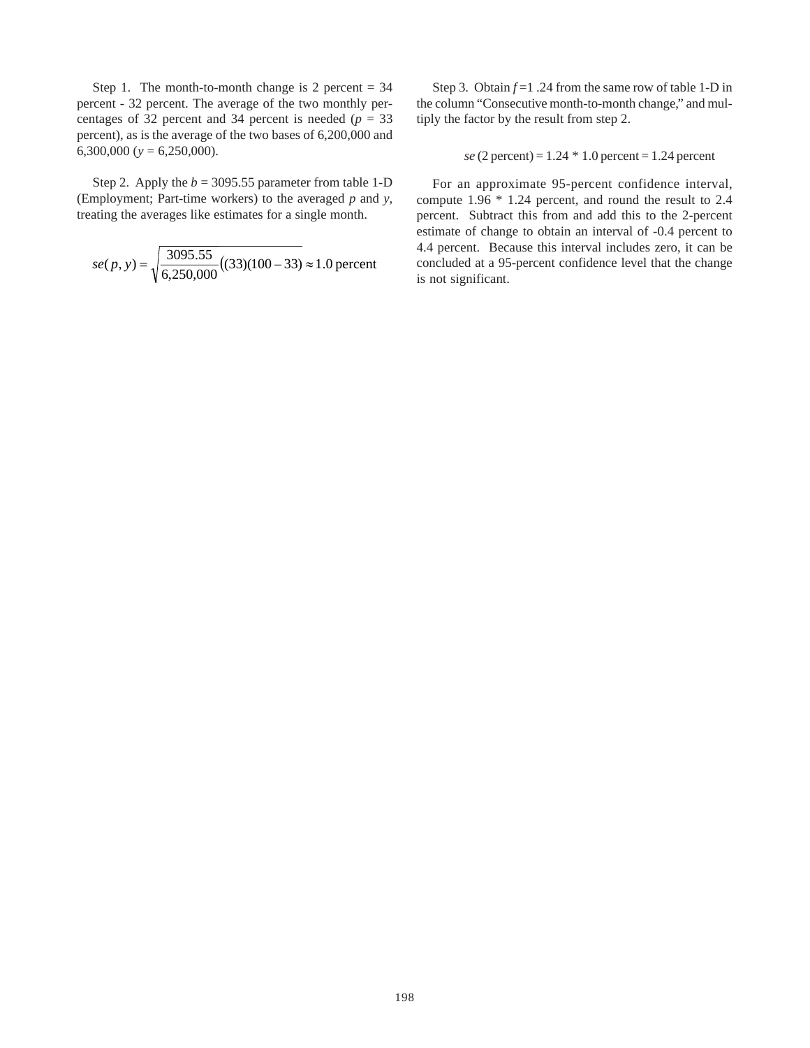Step 1. The month-to-month change is 2 percent  $= 34$ percent - 32 percent. The average of the two monthly percentages of 32 percent and 34 percent is needed ( $p = 33$ ) percent), as is the average of the two bases of 6,200,000 and 6,300,000 (*y* = 6,250,000).

Step 2. Apply the  $b = 3095.55$  parameter from table 1-D (Employment; Part-time workers) to the averaged *p* and *y*, treating the averages like estimates for a single month.

$$
se(p, y) = \sqrt{\frac{3095.55}{6,250,000}} ((33)(100 - 33) \approx 1.0
$$
 percent

Step 3. Obtain *f* =1 .24 from the same row of table 1-D in the column "Consecutive month-to-month change," and multiply the factor by the result from step 2.

 $se (2 percent) = 1.24 * 1.0 percent = 1.24 percent$ 

For an approximate 95-percent confidence interval, compute 1.96 \* 1.24 percent, and round the result to 2.4 percent. Subtract this from and add this to the 2-percent estimate of change to obtain an interval of -0.4 percent to 4.4 percent. Because this interval includes zero, it can be concluded at a 95-percent confidence level that the change is not significant.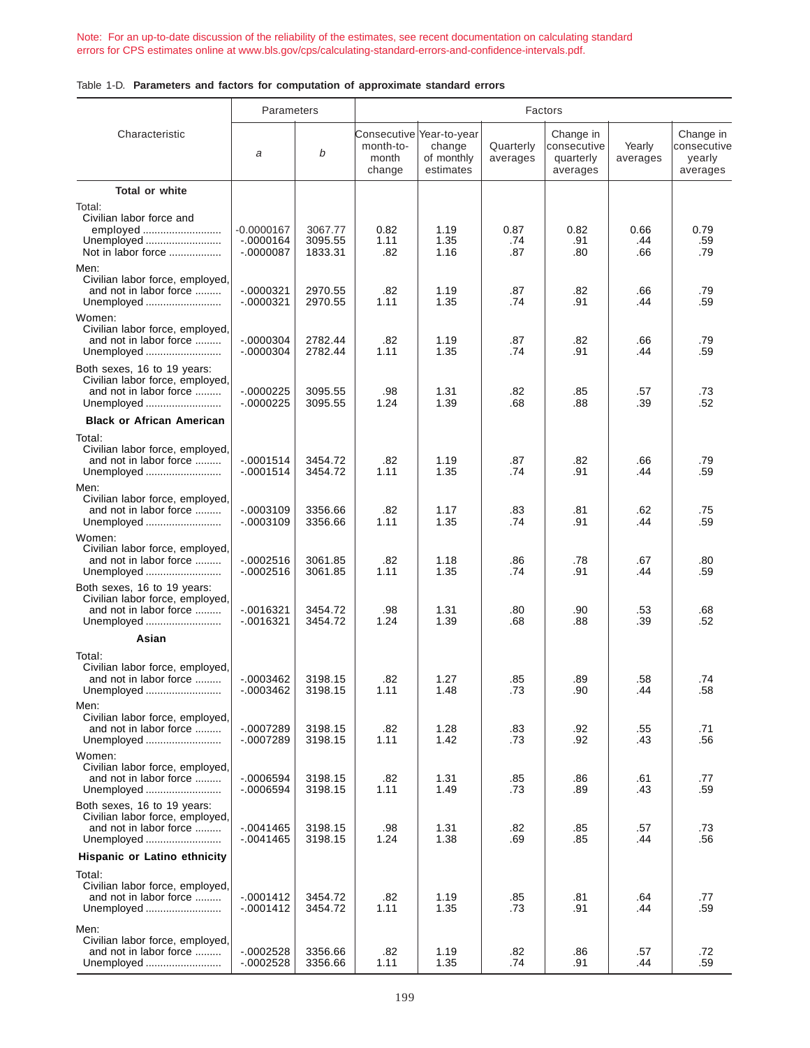[Note: For an up-to-date discussion of the reliability of the estimates, see recent documentation on calculating standard](https://www.bls.gov/cps/calculating-standard-errors-and-confidence-intervals.pdf)  errors for CPS estimates online at www.bls.gov/cps/calculating-standard-errors-and-confidence-intervals.pdf.

|  |  |  |  | Table 1-D. Parameters and factors for computation of approximate standard errors |  |  |  |  |
|--|--|--|--|----------------------------------------------------------------------------------|--|--|--|--|
|--|--|--|--|----------------------------------------------------------------------------------|--|--|--|--|

|                                                                                                        | Parameters                              |                               |                              |                                                                | Factors               |                                                   |                    |                                                |
|--------------------------------------------------------------------------------------------------------|-----------------------------------------|-------------------------------|------------------------------|----------------------------------------------------------------|-----------------------|---------------------------------------------------|--------------------|------------------------------------------------|
| Characteristic                                                                                         | a                                       | b                             | month-to-<br>month<br>change | Consecutive  Year-to-year<br>change<br>of monthly<br>estimates | Quarterly<br>averages | Change in<br>consecutive<br>quarterly<br>averages | Yearly<br>averages | Change in<br>consecutive<br>yearly<br>averages |
| Total or white                                                                                         |                                         |                               |                              |                                                                |                       |                                                   |                    |                                                |
| Total:<br>Civilian labor force and<br>employed<br>Unemployed<br>Not in labor force                     | -0.0000167<br>$-0000164$<br>$-.0000087$ | 3067.77<br>3095.55<br>1833.31 | 0.82<br>1.11<br>.82          | 1.19<br>1.35<br>1.16                                           | 0.87<br>.74<br>.87    | 0.82<br>.91<br>.80                                | 0.66<br>.44<br>.66 | 0.79<br>.59<br>.79                             |
| Men:<br>Civilian labor force, employed,<br>and not in labor force<br>Unemployed                        | $-0000321$<br>$-.0000321$               | 2970.55<br>2970.55            | .82<br>1.11                  | 1.19<br>1.35                                                   | .87<br>.74            | .82<br>.91                                        | .66<br>.44         | .79<br>.59                                     |
| Women:<br>Civilian labor force, employed,<br>and not in labor force<br>Unemployed                      | $-.0000304$<br>$-.0000304$              | 2782.44<br>2782.44            | .82<br>1.11                  | 1.19<br>1.35                                                   | .87<br>.74            | .82<br>.91                                        | .66<br>.44         | .79<br>.59                                     |
| Both sexes, 16 to 19 years:<br>Civilian labor force, employed,<br>and not in labor force<br>Unemployed | $-0000225$<br>$-0000225$                | 3095.55<br>3095.55            | .98<br>1.24                  | 1.31<br>1.39                                                   | .82<br>.68            | .85<br>.88                                        | .57<br>.39         | .73<br>.52                                     |
| <b>Black or African American</b>                                                                       |                                         |                               |                              |                                                                |                       |                                                   |                    |                                                |
| Total:<br>Civilian labor force, employed,<br>and not in labor force<br>Unemployed                      | $-0001514$<br>$-.0001514$               | 3454.72<br>3454.72            | .82<br>1.11                  | 1.19<br>1.35                                                   | .87<br>.74            | .82<br>.91                                        | .66<br>.44         | .79<br>.59                                     |
| Men:<br>Civilian labor force, employed,<br>and not in labor force<br>Unemployed                        | $-.0003109$<br>$-.0003109$              | 3356.66<br>3356.66            | .82<br>1.11                  | 1.17<br>1.35                                                   | .83<br>.74            | .81<br>.91                                        | .62<br>.44         | .75<br>.59                                     |
| Women:<br>Civilian labor force, employed,<br>and not in labor force<br>Unemployed                      | $-0002516$<br>$-0002516$                | 3061.85<br>3061.85            | .82<br>1.11                  | 1.18<br>1.35                                                   | .86<br>.74            | .78<br>.91                                        | .67<br>.44         | .80<br>.59                                     |
| Both sexes, 16 to 19 years:<br>Civilian labor force, employed,<br>and not in labor force<br>Unemployed | $-0016321$<br>$-.0016321$               | 3454.72<br>3454.72            | .98<br>1.24                  | 1.31<br>1.39                                                   | .80<br>.68            | .90<br>.88                                        | .53<br>.39         | .68<br>.52                                     |
| Asian                                                                                                  |                                         |                               |                              |                                                                |                       |                                                   |                    |                                                |
| Total:<br>Civilian labor force, employed,<br>and not in labor force<br>Unemployed                      | $-0003462$<br>$-.0003462$               | 3198.15<br>3198.15            | .82<br>1.11                  | 1.27<br>1.48                                                   | .85<br>.73            | .89<br>.90                                        | .58<br>.44         | .74<br>.58                                     |
| Men:<br>Civilian labor force, employed,<br>and not in labor force<br>Unemployed                        | $-0007289$<br>$-0007289$                | 3198.15<br>3198.15            | .82<br>1.11                  | 1.28<br>1.42                                                   | .83<br>.73            | .92<br>.92                                        | .55<br>.43         | .71<br>.56                                     |
| Women:<br>Civilian labor force, employed,<br>and not in labor force<br>Unemployed                      | $-.0006594$<br>$-.0006594$              | 3198.15<br>3198.15            | .82<br>1.11                  | 1.31<br>1.49                                                   | .85<br>.73            | .86<br>.89                                        | .61<br>.43         | .77<br>.59                                     |
| Both sexes, 16 to 19 years:<br>Civilian labor force, employed,<br>and not in labor force<br>Unemployed | $-0041465$<br>$-.0041465$               | 3198.15<br>3198.15            | .98<br>1.24                  | 1.31<br>1.38                                                   | .82<br>.69            | .85<br>.85                                        | .57<br>.44         | .73<br>.56                                     |
| Hispanic or Latino ethnicity                                                                           |                                         |                               |                              |                                                                |                       |                                                   |                    |                                                |
| Total:<br>Civilian labor force, employed,<br>and not in labor force<br>Unemployed                      | $-.0001412$<br>$-.0001412$              | 3454.72<br>3454.72            | .82<br>1.11                  | 1.19<br>1.35                                                   | .85<br>.73            | .81<br>.91                                        | .64<br>.44         | .77<br>.59                                     |
| Men:<br>Civilian labor force, employed,<br>and not in labor force<br>Unemployed                        | $-0002528$<br>$-.0002528$               | 3356.66<br>3356.66            | .82<br>1.11                  | 1.19<br>1.35                                                   | .82<br>.74            | .86<br>.91                                        | .57<br>.44         | .72<br>.59                                     |